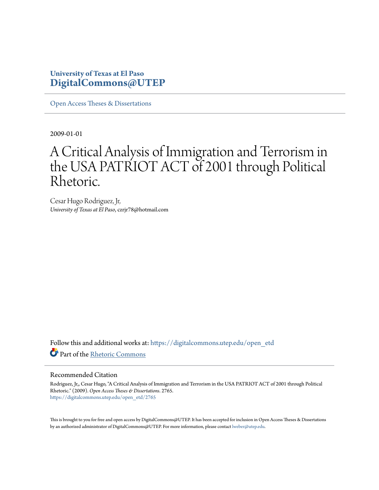# **University of Texas at El Paso [DigitalCommons@UTEP](https://digitalcommons.utep.edu/?utm_source=digitalcommons.utep.edu%2Fopen_etd%2F2765&utm_medium=PDF&utm_campaign=PDFCoverPages)**

[Open Access Theses & Dissertations](https://digitalcommons.utep.edu/open_etd?utm_source=digitalcommons.utep.edu%2Fopen_etd%2F2765&utm_medium=PDF&utm_campaign=PDFCoverPages)

2009-01-01

# A Critical Analysis of Immigration and Terrorism in the USA PATRIOT ACT of 2001 through Political Rhetoric.

Cesar Hugo Rodriguez, Jr, *University of Texas at El Paso*, czrjr78@hotmail.com

Follow this and additional works at: [https://digitalcommons.utep.edu/open\\_etd](https://digitalcommons.utep.edu/open_etd?utm_source=digitalcommons.utep.edu%2Fopen_etd%2F2765&utm_medium=PDF&utm_campaign=PDFCoverPages) Part of the [Rhetoric Commons](http://network.bepress.com/hgg/discipline/575?utm_source=digitalcommons.utep.edu%2Fopen_etd%2F2765&utm_medium=PDF&utm_campaign=PDFCoverPages)

## Recommended Citation

Rodriguez, Jr,, Cesar Hugo, "A Critical Analysis of Immigration and Terrorism in the USA PATRIOT ACT of 2001 through Political Rhetoric." (2009). *Open Access Theses & Dissertations*. 2765. [https://digitalcommons.utep.edu/open\\_etd/2765](https://digitalcommons.utep.edu/open_etd/2765?utm_source=digitalcommons.utep.edu%2Fopen_etd%2F2765&utm_medium=PDF&utm_campaign=PDFCoverPages)

This is brought to you for free and open access by DigitalCommons@UTEP. It has been accepted for inclusion in Open Access Theses & Dissertations by an authorized administrator of DigitalCommons@UTEP. For more information, please contact [lweber@utep.edu.](mailto:lweber@utep.edu)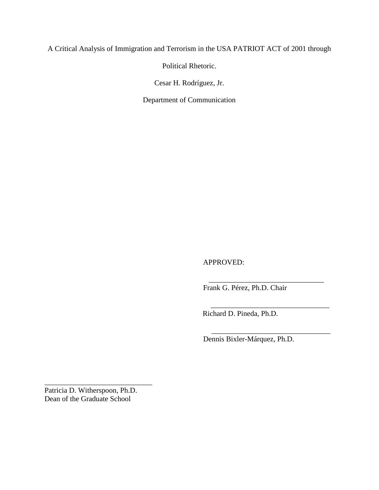# A Critical Analysis of Immigration and Terrorism in the USA PATRIOT ACT of 2001 through

Political Rhetoric.

Cesar H. Rodríguez, Jr.

Department of Communication

 $\overline{\phantom{a}}$  , and the contract of the contract of the contract of the contract of the contract of the contract of the contract of the contract of the contract of the contract of the contract of the contract of the contrac

 $\overline{\phantom{a}}$  , and the contract of the contract of the contract of the contract of the contract of the contract of the contract of the contract of the contract of the contract of the contract of the contract of the contrac

 $\overline{\phantom{a}}$  , and the contract of the contract of the contract of the contract of the contract of the contract of the contract of the contract of the contract of the contract of the contract of the contract of the contrac

APPROVED:

Frank G. Pérez, Ph.D. Chair

Richard D. Pineda, Ph.D.

Dennis Bixler-Márquez, Ph.D.

Patricia D. Witherspoon, Ph.D. Dean of the Graduate School

\_\_\_\_\_\_\_\_\_\_\_\_\_\_\_\_\_\_\_\_\_\_\_\_\_\_\_\_\_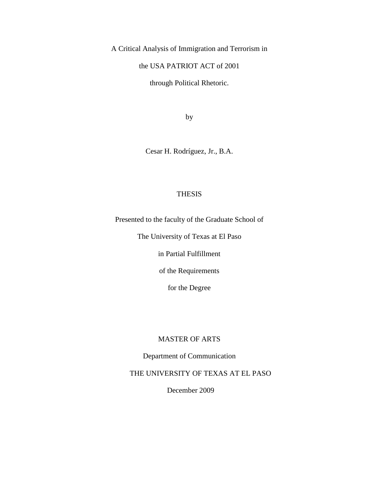A Critical Analysis of Immigration and Terrorism in

# the USA PATRIOT ACT of 2001

through Political Rhetoric.

by

Cesar H. Rodríguez, Jr., B.A.

# THESIS

Presented to the faculty of the Graduate School of

The University of Texas at El Paso

in Partial Fulfillment

of the Requirements

for the Degree

# MASTER OF ARTS

Department of Communication

THE UNIVERSITY OF TEXAS AT EL PASO

December 2009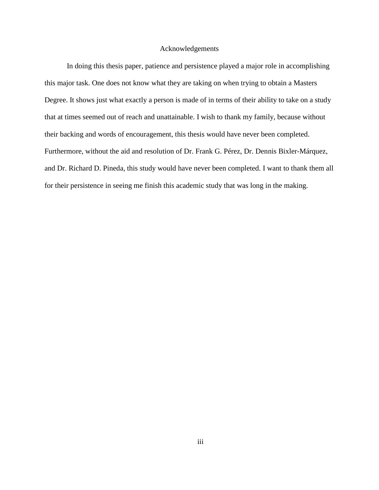## Acknowledgements

 In doing this thesis paper, patience and persistence played a major role in accomplishing this major task. One does not know what they are taking on when trying to obtain a Masters Degree. It shows just what exactly a person is made of in terms of their ability to take on a study that at times seemed out of reach and unattainable. I wish to thank my family, because without their backing and words of encouragement, this thesis would have never been completed. Furthermore, without the aid and resolution of Dr. Frank G. Pérez, Dr. Dennis Bixler-Márquez, and Dr. Richard D. Pineda, this study would have never been completed. I want to thank them all for their persistence in seeing me finish this academic study that was long in the making.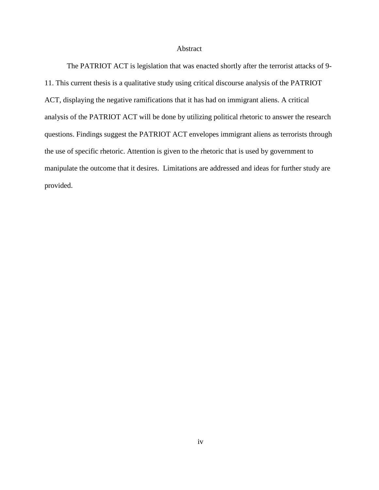# Abstract

 The PATRIOT ACT is legislation that was enacted shortly after the terrorist attacks of 9- 11. This current thesis is a qualitative study using critical discourse analysis of the PATRIOT ACT, displaying the negative ramifications that it has had on immigrant aliens. A critical analysis of the PATRIOT ACT will be done by utilizing political rhetoric to answer the research questions. Findings suggest the PATRIOT ACT envelopes immigrant aliens as terrorists through the use of specific rhetoric. Attention is given to the rhetoric that is used by government to manipulate the outcome that it desires. Limitations are addressed and ideas for further study are provided.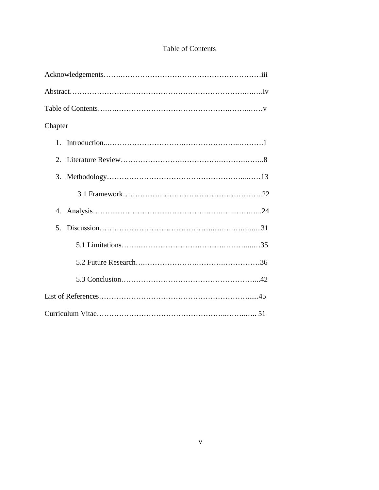# Table of Contents

| Chapter |  |
|---------|--|
| $1_{-}$ |  |
| 2.      |  |
| 3.      |  |
|         |  |
| 4.      |  |
| .5      |  |
|         |  |
|         |  |
|         |  |
|         |  |
|         |  |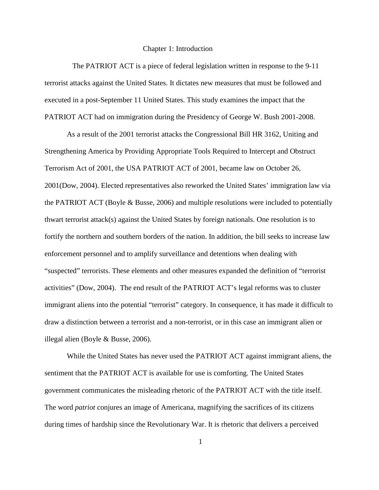#### Chapter 1: Introduction

 The PATRIOT ACT is a piece of federal legislation written in response to the 9-11 terrorist attacks against the United States. It dictates new measures that must be followed and executed in a post-September 11 United States. This study examines the impact that the PATRIOT ACT had on immigration during the Presidency of George W. Bush 2001-2008.

As a result of the 2001 terrorist attacks the Congressional Bill HR 3162, Uniting and Strengthening America by Providing Appropriate Tools Required to Intercept and Obstruct Terrorism Act of 2001, the USA PATRIOT ACT of 2001, became law on October 26, 2001(Dow, 2004). Elected representatives also reworked the United States' immigration law via the PATRIOT ACT (Boyle & Busse, 2006) and multiple resolutions were included to potentially thwart terrorist attack(s) against the United States by foreign nationals. One resolution is to fortify the northern and southern borders of the nation. In addition, the bill seeks to increase law enforcement personnel and to amplify surveillance and detentions when dealing with "suspected" terrorists. These elements and other measures expanded the definition of "terrorist activities" (Dow, 2004). The end result of the PATRIOT ACT's legal reforms was to cluster immigrant aliens into the potential "terrorist" category. In consequence, it has made it difficult to draw a distinction between a terrorist and a non-terrorist, or in this case an immigrant alien or illegal alien (Boyle & Busse, 2006).

While the United States has never used the PATRIOT ACT against immigrant aliens, the sentiment that the PATRIOT ACT is available for use is comforting. The United States government communicates the misleading rhetoric of the PATRIOT ACT with the title itself. The word *patriot* conjures an image of Americana, magnifying the sacrifices of its citizens during times of hardship since the Revolutionary War. It is rhetoric that delivers a perceived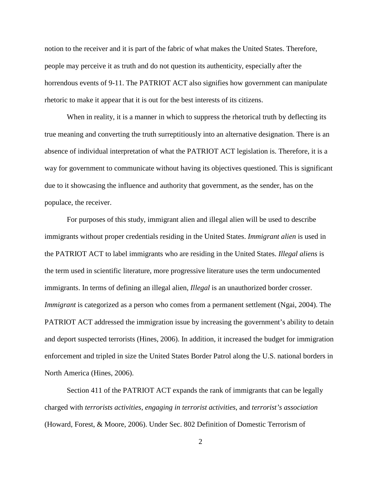notion to the receiver and it is part of the fabric of what makes the United States. Therefore, people may perceive it as truth and do not question its authenticity, especially after the horrendous events of 9-11. The PATRIOT ACT also signifies how government can manipulate rhetoric to make it appear that it is out for the best interests of its citizens.

When in reality, it is a manner in which to suppress the rhetorical truth by deflecting its true meaning and converting the truth surreptitiously into an alternative designation. There is an absence of individual interpretation of what the PATRIOT ACT legislation is. Therefore, it is a way for government to communicate without having its objectives questioned. This is significant due to it showcasing the influence and authority that government, as the sender, has on the populace, the receiver.

For purposes of this study, immigrant alien and illegal alien will be used to describe immigrants without proper credentials residing in the United States. *Immigrant alien* is used in the PATRIOT ACT to label immigrants who are residing in the United States. *Illegal aliens* is the term used in scientific literature, more progressive literature uses the term undocumented immigrants. In terms of defining an illegal alien, *Illegal* is an unauthorized border crosser. *Immigrant* is categorized as a person who comes from a permanent settlement (Ngai, 2004). The PATRIOT ACT addressed the immigration issue by increasing the government's ability to detain and deport suspected terrorists (Hines, 2006). In addition, it increased the budget for immigration enforcement and tripled in size the United States Border Patrol along the U.S. national borders in North America (Hines, 2006).

Section 411 of the PATRIOT ACT expands the rank of immigrants that can be legally charged with *terrorists activities*, *engaging in terrorist activities*, and *terrorist's association*  (Howard, Forest, & Moore, 2006). Under Sec. 802 Definition of Domestic Terrorism of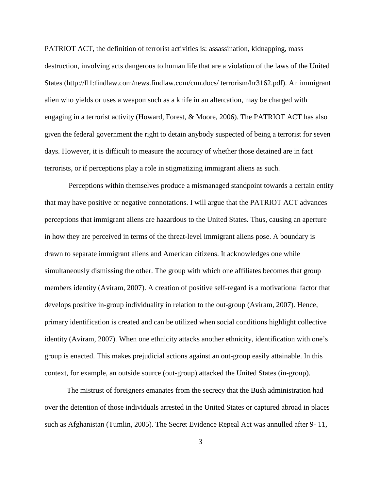PATRIOT ACT, the definition of terrorist activities is: assassination, kidnapping, mass destruction, involving acts dangerous to human life that are a violation of the laws of the United States (http://fl1:findlaw.com/news.findlaw.com/cnn.docs/ terrorism/hr3162.pdf). An immigrant alien who yields or uses a weapon such as a knife in an altercation, may be charged with engaging in a terrorist activity (Howard, Forest, & Moore, 2006). The PATRIOT ACT has also given the federal government the right to detain anybody suspected of being a terrorist for seven days. However, it is difficult to measure the accuracy of whether those detained are in fact terrorists, or if perceptions play a role in stigmatizing immigrant aliens as such.

 Perceptions within themselves produce a mismanaged standpoint towards a certain entity that may have positive or negative connotations. I will argue that the PATRIOT ACT advances perceptions that immigrant aliens are hazardous to the United States. Thus, causing an aperture in how they are perceived in terms of the threat-level immigrant aliens pose. A boundary is drawn to separate immigrant aliens and American citizens. It acknowledges one while simultaneously dismissing the other. The group with which one affiliates becomes that group members identity (Aviram, 2007). A creation of positive self-regard is a motivational factor that develops positive in-group individuality in relation to the out-group (Aviram, 2007). Hence, primary identification is created and can be utilized when social conditions highlight collective identity (Aviram, 2007). When one ethnicity attacks another ethnicity, identification with one's group is enacted. This makes prejudicial actions against an out-group easily attainable. In this context, for example, an outside source (out-group) attacked the United States (in-group).

The mistrust of foreigners emanates from the secrecy that the Bush administration had over the detention of those individuals arrested in the United States or captured abroad in places such as Afghanistan (Tumlin, 2005). The Secret Evidence Repeal Act was annulled after 9- 11,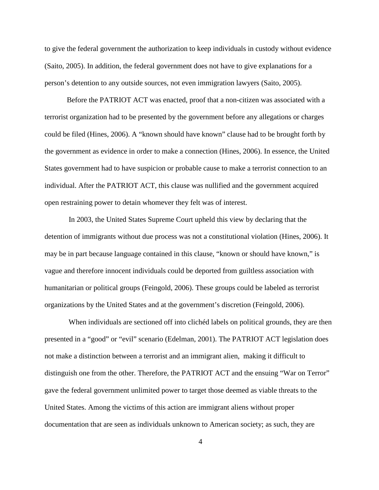to give the federal government the authorization to keep individuals in custody without evidence (Saito, 2005). In addition, the federal government does not have to give explanations for a person's detention to any outside sources, not even immigration lawyers (Saito, 2005).

Before the PATRIOT ACT was enacted, proof that a non-citizen was associated with a terrorist organization had to be presented by the government before any allegations or charges could be filed (Hines, 2006). A "known should have known" clause had to be brought forth by the government as evidence in order to make a connection (Hines, 2006). In essence, the United States government had to have suspicion or probable cause to make a terrorist connection to an individual. After the PATRIOT ACT, this clause was nullified and the government acquired open restraining power to detain whomever they felt was of interest.

 In 2003, the United States Supreme Court upheld this view by declaring that the detention of immigrants without due process was not a constitutional violation (Hines, 2006). It may be in part because language contained in this clause, "known or should have known," is vague and therefore innocent individuals could be deported from guiltless association with humanitarian or political groups (Feingold, 2006). These groups could be labeled as terrorist organizations by the United States and at the government's discretion (Feingold, 2006).

 When individuals are sectioned off into clichéd labels on political grounds, they are then presented in a "good" or "evil" scenario (Edelman, 2001). The PATRIOT ACT legislation does not make a distinction between a terrorist and an immigrant alien, making it difficult to distinguish one from the other. Therefore, the PATRIOT ACT and the ensuing "War on Terror" gave the federal government unlimited power to target those deemed as viable threats to the United States. Among the victims of this action are immigrant aliens without proper documentation that are seen as individuals unknown to American society; as such, they are

4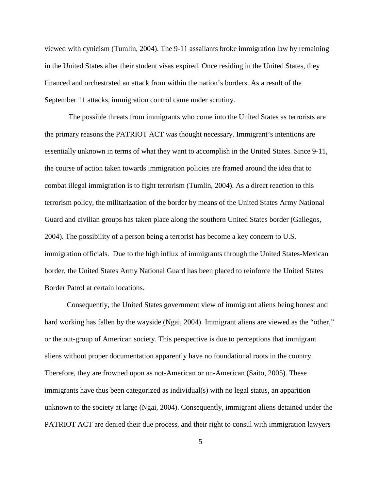viewed with cynicism (Tumlin, 2004). The 9-11 assailants broke immigration law by remaining in the United States after their student visas expired. Once residing in the United States, they financed and orchestrated an attack from within the nation's borders. As a result of the September 11 attacks, immigration control came under scrutiny.

 The possible threats from immigrants who come into the United States as terrorists are the primary reasons the PATRIOT ACT was thought necessary. Immigrant's intentions are essentially unknown in terms of what they want to accomplish in the United States. Since 9-11, the course of action taken towards immigration policies are framed around the idea that to combat illegal immigration is to fight terrorism (Tumlin, 2004). As a direct reaction to this terrorism policy, the militarization of the border by means of the United States Army National Guard and civilian groups has taken place along the southern United States border (Gallegos, 2004). The possibility of a person being a terrorist has become a key concern to U.S. immigration officials. Due to the high influx of immigrants through the United States-Mexican border, the United States Army National Guard has been placed to reinforce the United States Border Patrol at certain locations.

Consequently, the United States government view of immigrant aliens being honest and hard working has fallen by the wayside (Ngai, 2004). Immigrant aliens are viewed as the "other," or the out-group of American society. This perspective is due to perceptions that immigrant aliens without proper documentation apparently have no foundational roots in the country. Therefore, they are frowned upon as not-American or un-American (Saito, 2005). These immigrants have thus been categorized as individual(s) with no legal status, an apparition unknown to the society at large (Ngai, 2004). Consequently, immigrant aliens detained under the PATRIOT ACT are denied their due process, and their right to consul with immigration lawyers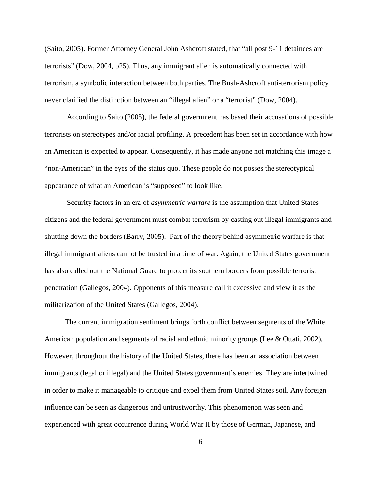(Saito, 2005). Former Attorney General John Ashcroft stated, that "all post 9-11 detainees are terrorists" (Dow, 2004, p25). Thus, any immigrant alien is automatically connected with terrorism, a symbolic interaction between both parties. The Bush-Ashcroft anti-terrorism policy never clarified the distinction between an "illegal alien" or a "terrorist" (Dow, 2004).

According to Saito (2005), the federal government has based their accusations of possible terrorists on stereotypes and/or racial profiling. A precedent has been set in accordance with how an American is expected to appear. Consequently, it has made anyone not matching this image a "non-American" in the eyes of the status quo. These people do not posses the stereotypical appearance of what an American is "supposed" to look like.

Security factors in an era of *asymmetric warfare* is the assumption that United States citizens and the federal government must combat terrorism by casting out illegal immigrants and shutting down the borders (Barry, 2005). Part of the theory behind asymmetric warfare is that illegal immigrant aliens cannot be trusted in a time of war. Again, the United States government has also called out the National Guard to protect its southern borders from possible terrorist penetration (Gallegos, 2004). Opponents of this measure call it excessive and view it as the militarization of the United States (Gallegos, 2004).

 The current immigration sentiment brings forth conflict between segments of the White American population and segments of racial and ethnic minority groups (Lee & Ottati, 2002). However, throughout the history of the United States, there has been an association between immigrants (legal or illegal) and the United States government's enemies. They are intertwined in order to make it manageable to critique and expel them from United States soil. Any foreign influence can be seen as dangerous and untrustworthy. This phenomenon was seen and experienced with great occurrence during World War II by those of German, Japanese, and

6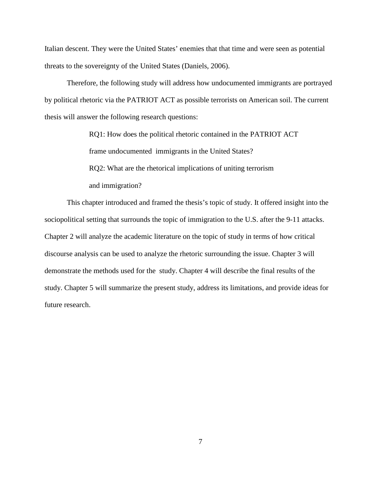Italian descent. They were the United States' enemies that that time and were seen as potential threats to the sovereignty of the United States (Daniels, 2006).

 Therefore, the following study will address how undocumented immigrants are portrayed by political rhetoric via the PATRIOT ACT as possible terrorists on American soil. The current thesis will answer the following research questions:

> RQ1: How does the political rhetoric contained in the PATRIOT ACT frame undocumented immigrants in the United States? RQ2: What are the rhetorical implications of uniting terrorism and immigration?

 This chapter introduced and framed the thesis's topic of study. It offered insight into the sociopolitical setting that surrounds the topic of immigration to the U.S. after the 9-11 attacks. Chapter 2 will analyze the academic literature on the topic of study in terms of how critical discourse analysis can be used to analyze the rhetoric surrounding the issue. Chapter 3 will demonstrate the methods used for the study. Chapter 4 will describe the final results of the study. Chapter 5 will summarize the present study, address its limitations, and provide ideas for future research.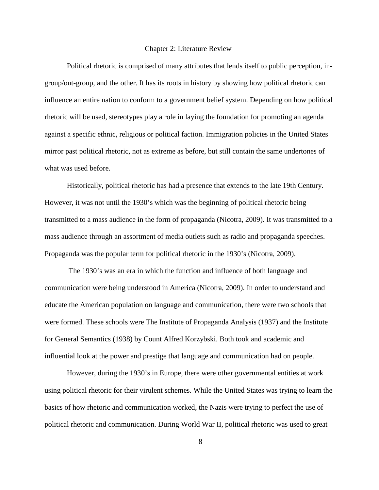#### Chapter 2: Literature Review

Political rhetoric is comprised of many attributes that lends itself to public perception, ingroup/out-group, and the other. It has its roots in history by showing how political rhetoric can influence an entire nation to conform to a government belief system. Depending on how political rhetoric will be used, stereotypes play a role in laying the foundation for promoting an agenda against a specific ethnic, religious or political faction. Immigration policies in the United States mirror past political rhetoric, not as extreme as before, but still contain the same undertones of what was used before.

Historically, political rhetoric has had a presence that extends to the late 19th Century. However, it was not until the 1930's which was the beginning of political rhetoric being transmitted to a mass audience in the form of propaganda (Nicotra, 2009). It was transmitted to a mass audience through an assortment of media outlets such as radio and propaganda speeches. Propaganda was the popular term for political rhetoric in the 1930's (Nicotra, 2009).

 The 1930's was an era in which the function and influence of both language and communication were being understood in America (Nicotra, 2009). In order to understand and educate the American population on language and communication, there were two schools that were formed. These schools were The Institute of Propaganda Analysis (1937) and the Institute for General Semantics (1938) by Count Alfred Korzybski. Both took and academic and influential look at the power and prestige that language and communication had on people.

However, during the 1930's in Europe, there were other governmental entities at work using political rhetoric for their virulent schemes. While the United States was trying to learn the basics of how rhetoric and communication worked, the Nazis were trying to perfect the use of political rhetoric and communication. During World War II, political rhetoric was used to great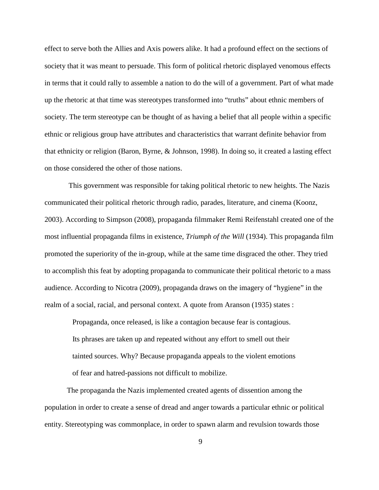effect to serve both the Allies and Axis powers alike. It had a profound effect on the sections of society that it was meant to persuade. This form of political rhetoric displayed venomous effects in terms that it could rally to assemble a nation to do the will of a government. Part of what made up the rhetoric at that time was stereotypes transformed into "truths" about ethnic members of society. The term stereotype can be thought of as having a belief that all people within a specific ethnic or religious group have attributes and characteristics that warrant definite behavior from that ethnicity or religion (Baron, Byrne, & Johnson, 1998). In doing so, it created a lasting effect on those considered the other of those nations.

 This government was responsible for taking political rhetoric to new heights. The Nazis communicated their political rhetoric through radio, parades, literature, and cinema (Koonz, 2003). According to Simpson (2008), propaganda filmmaker Remi Reifenstahl created one of the most influential propaganda films in existence, *Triumph of the Will* (1934). This propaganda film promoted the superiority of the in-group, while at the same time disgraced the other. They tried to accomplish this feat by adopting propaganda to communicate their political rhetoric to a mass audience. According to Nicotra (2009), propaganda draws on the imagery of "hygiene" in the realm of a social, racial, and personal context. A quote from Aranson (1935) states :

 Propaganda, once released, is like a contagion because fear is contagious. Its phrases are taken up and repeated without any effort to smell out their tainted sources. Why? Because propaganda appeals to the violent emotions of fear and hatred-passions not difficult to mobilize.

The propaganda the Nazis implemented created agents of dissention among the population in order to create a sense of dread and anger towards a particular ethnic or political entity. Stereotyping was commonplace, in order to spawn alarm and revulsion towards those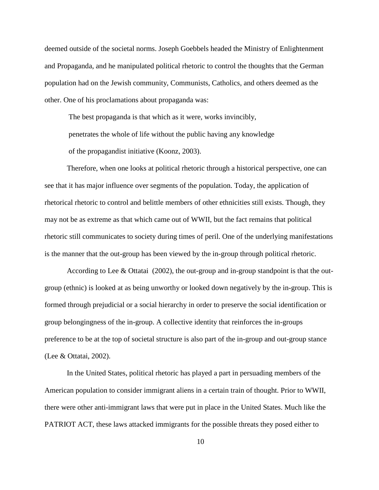deemed outside of the societal norms. Joseph Goebbels headed the Ministry of Enlightenment and Propaganda, and he manipulated political rhetoric to control the thoughts that the German population had on the Jewish community, Communists, Catholics, and others deemed as the other. One of his proclamations about propaganda was:

The best propaganda is that which as it were, works invincibly,

penetrates the whole of life without the public having any knowledge

of the propagandist initiative (Koonz, 2003).

Therefore, when one looks at political rhetoric through a historical perspective, one can see that it has major influence over segments of the population. Today, the application of rhetorical rhetoric to control and belittle members of other ethnicities still exists. Though, they may not be as extreme as that which came out of WWII, but the fact remains that political rhetoric still communicates to society during times of peril. One of the underlying manifestations is the manner that the out-group has been viewed by the in-group through political rhetoric.

According to Lee & Ottatai (2002), the out-group and in-group standpoint is that the outgroup (ethnic) is looked at as being unworthy or looked down negatively by the in-group. This is formed through prejudicial or a social hierarchy in order to preserve the social identification or group belongingness of the in-group. A collective identity that reinforces the in-groups preference to be at the top of societal structure is also part of the in-group and out-group stance (Lee & Ottatai, 2002).

In the United States, political rhetoric has played a part in persuading members of the American population to consider immigrant aliens in a certain train of thought. Prior to WWII, there were other anti-immigrant laws that were put in place in the United States. Much like the PATRIOT ACT, these laws attacked immigrants for the possible threats they posed either to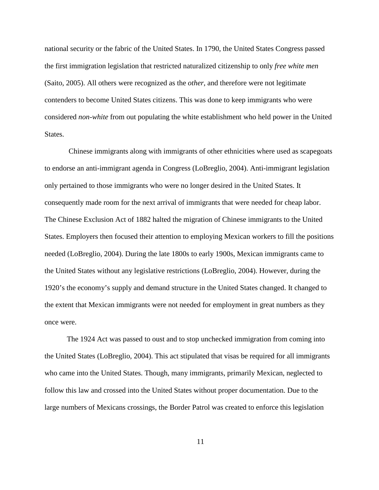national security or the fabric of the United States. In 1790, the United States Congress passed the first immigration legislation that restricted naturalized citizenship to only *free white men* (Saito, 2005). All others were recognized as the *other*, and therefore were not legitimate contenders to become United States citizens. This was done to keep immigrants who were considered *non-white* from out populating the white establishment who held power in the United States.

 Chinese immigrants along with immigrants of other ethnicities where used as scapegoats to endorse an anti-immigrant agenda in Congress (LoBreglio, 2004). Anti-immigrant legislation only pertained to those immigrants who were no longer desired in the United States. It consequently made room for the next arrival of immigrants that were needed for cheap labor. The Chinese Exclusion Act of 1882 halted the migration of Chinese immigrants to the United States. Employers then focused their attention to employing Mexican workers to fill the positions needed (LoBreglio, 2004). During the late 1800s to early 1900s, Mexican immigrants came to the United States without any legislative restrictions (LoBreglio, 2004). However, during the 1920's the economy's supply and demand structure in the United States changed. It changed to the extent that Mexican immigrants were not needed for employment in great numbers as they once were.

The 1924 Act was passed to oust and to stop unchecked immigration from coming into the United States (LoBreglio, 2004). This act stipulated that visas be required for all immigrants who came into the United States. Though, many immigrants, primarily Mexican, neglected to follow this law and crossed into the United States without proper documentation. Due to the large numbers of Mexicans crossings, the Border Patrol was created to enforce this legislation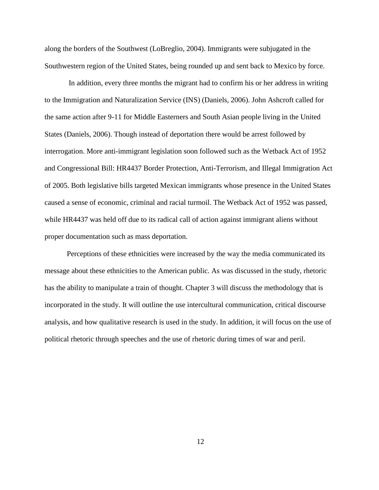along the borders of the Southwest (LoBreglio, 2004). Immigrants were subjugated in the Southwestern region of the United States, being rounded up and sent back to Mexico by force.

 In addition, every three months the migrant had to confirm his or her address in writing to the Immigration and Naturalization Service (INS) (Daniels, 2006). John Ashcroft called for the same action after 9-11 for Middle Easterners and South Asian people living in the United States (Daniels, 2006). Though instead of deportation there would be arrest followed by interrogation. More anti-immigrant legislation soon followed such as the Wetback Act of 1952 and Congressional Bill: HR4437 Border Protection, Anti-Terrorism, and Illegal Immigration Act of 2005. Both legislative bills targeted Mexican immigrants whose presence in the United States caused a sense of economic, criminal and racial turmoil. The Wetback Act of 1952 was passed, while HR4437 was held off due to its radical call of action against immigrant aliens without proper documentation such as mass deportation.

Perceptions of these ethnicities were increased by the way the media communicated its message about these ethnicities to the American public. As was discussed in the study, rhetoric has the ability to manipulate a train of thought. Chapter 3 will discuss the methodology that is incorporated in the study. It will outline the use intercultural communication, critical discourse analysis, and how qualitative research is used in the study. In addition, it will focus on the use of political rhetoric through speeches and the use of rhetoric during times of war and peril.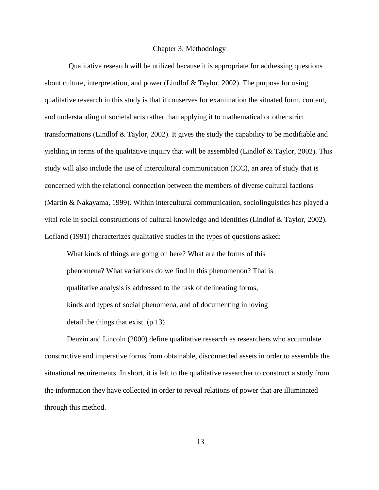#### Chapter 3: Methodology

 Qualitative research will be utilized because it is appropriate for addressing questions about culture, interpretation, and power (Lindlof & Taylor, 2002). The purpose for using qualitative research in this study is that it conserves for examination the situated form, content, and understanding of societal acts rather than applying it to mathematical or other strict transformations (Lindlof & Taylor, 2002). It gives the study the capability to be modifiable and yielding in terms of the qualitative inquiry that will be assembled (Lindlof & Taylor, 2002). This study will also include the use of intercultural communication (ICC), an area of study that is concerned with the relational connection between the members of diverse cultural factions (Martin & Nakayama, 1999). Within intercultural communication, sociolinguistics has played a vital role in social constructions of cultural knowledge and identities (Lindlof & Taylor, 2002). Lofland (1991) characterizes qualitative studies in the types of questions asked:

What kinds of things are going on here? What are the forms of this phenomena? What variations do we find in this phenomenon? That is qualitative analysis is addressed to the task of delineating forms, kinds and types of social phenomena, and of documenting in loving detail the things that exist. (p.13)

Denzin and Lincoln (2000) define qualitative research as researchers who accumulate constructive and imperative forms from obtainable, disconnected assets in order to assemble the situational requirements. In short, it is left to the qualitative researcher to construct a study from the information they have collected in order to reveal relations of power that are illuminated through this method.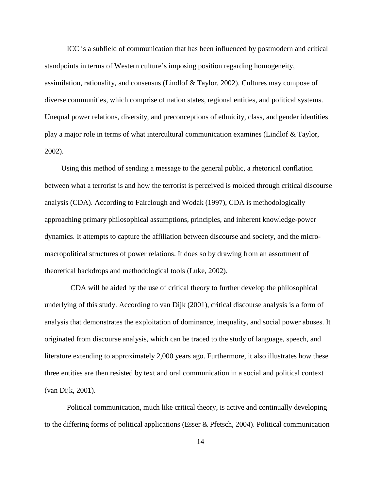ICC is a subfield of communication that has been influenced by postmodern and critical standpoints in terms of Western culture's imposing position regarding homogeneity, assimilation, rationality, and consensus (Lindlof & Taylor, 2002). Cultures may compose of diverse communities, which comprise of nation states, regional entities, and political systems. Unequal power relations, diversity, and preconceptions of ethnicity, class, and gender identities play a major role in terms of what intercultural communication examines (Lindlof & Taylor, 2002).

 Using this method of sending a message to the general public, a rhetorical conflation between what a terrorist is and how the terrorist is perceived is molded through critical discourse analysis (CDA). According to Fairclough and Wodak (1997), CDA is methodologically approaching primary philosophical assumptions, principles, and inherent knowledge-power dynamics. It attempts to capture the affiliation between discourse and society, and the micromacropolitical structures of power relations. It does so by drawing from an assortment of theoretical backdrops and methodological tools (Luke, 2002).

 CDA will be aided by the use of critical theory to further develop the philosophical underlying of this study. According to van Dijk (2001), critical discourse analysis is a form of analysis that demonstrates the exploitation of dominance, inequality, and social power abuses. It originated from discourse analysis, which can be traced to the study of language, speech, and literature extending to approximately 2,000 years ago. Furthermore, it also illustrates how these three entities are then resisted by text and oral communication in a social and political context (van Dijk, 2001).

Political communication, much like critical theory, is active and continually developing to the differing forms of political applications (Esser & Pfetsch, 2004). Political communication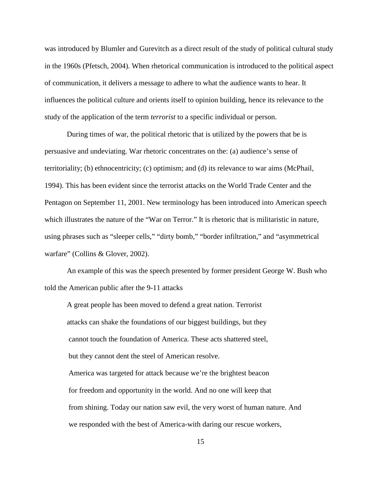was introduced by Blumler and Gurevitch as a direct result of the study of political cultural study in the 1960s (Pfetsch, 2004). When rhetorical communication is introduced to the political aspect of communication, it delivers a message to adhere to what the audience wants to hear. It influences the political culture and orients itself to opinion building, hence its relevance to the study of the application of the term *terrorist* to a specific individual or person.

During times of war, the political rhetoric that is utilized by the powers that be is persuasive and undeviating. War rhetoric concentrates on the: (a) audience's sense of territoriality; (b) ethnocentricity; (c) optimism; and (d) its relevance to war aims (McPhail, 1994). This has been evident since the terrorist attacks on the World Trade Center and the Pentagon on September 11, 2001. New terminology has been introduced into American speech which illustrates the nature of the "War on Terror." It is rhetoric that is militaristic in nature, using phrases such as "sleeper cells," "dirty bomb," "border infiltration," and "asymmetrical warfare" (Collins & Glover, 2002).

An example of this was the speech presented by former president George W. Bush who told the American public after the 9-11 attacks

A great people has been moved to defend a great nation. Terrorist attacks can shake the foundations of our biggest buildings, but they cannot touch the foundation of America. These acts shattered steel, but they cannot dent the steel of American resolve. America was targeted for attack because we're the brightest beacon for freedom and opportunity in the world. And no one will keep that from shining. Today our nation saw evil, the very worst of human nature. And we responded with the best of America-with daring our rescue workers,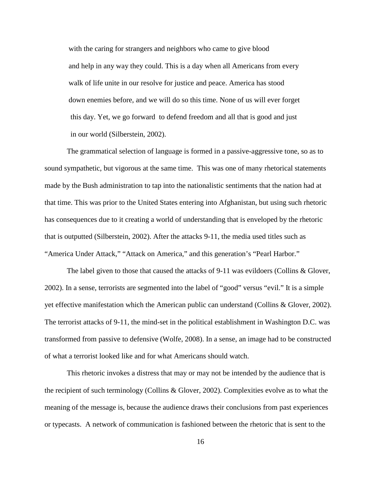with the caring for strangers and neighbors who came to give blood and help in any way they could. This is a day when all Americans from every walk of life unite in our resolve for justice and peace. America has stood down enemies before, and we will do so this time. None of us will ever forget this day. Yet, we go forward to defend freedom and all that is good and just in our world (Silberstein, 2002).

The grammatical selection of language is formed in a passive-aggressive tone, so as to sound sympathetic, but vigorous at the same time. This was one of many rhetorical statements made by the Bush administration to tap into the nationalistic sentiments that the nation had at that time. This was prior to the United States entering into Afghanistan, but using such rhetoric has consequences due to it creating a world of understanding that is enveloped by the rhetoric that is outputted (Silberstein, 2002). After the attacks 9-11, the media used titles such as "America Under Attack," "Attack on America," and this generation's "Pearl Harbor."

The label given to those that caused the attacks of 9-11 was evildoers (Collins & Glover, 2002). In a sense, terrorists are segmented into the label of "good" versus "evil." It is a simple yet effective manifestation which the American public can understand (Collins & Glover, 2002). The terrorist attacks of 9-11, the mind-set in the political establishment in Washington D.C. was transformed from passive to defensive (Wolfe, 2008). In a sense, an image had to be constructed of what a terrorist looked like and for what Americans should watch.

This rhetoric invokes a distress that may or may not be intended by the audience that is the recipient of such terminology (Collins & Glover, 2002). Complexities evolve as to what the meaning of the message is, because the audience draws their conclusions from past experiences or typecasts. A network of communication is fashioned between the rhetoric that is sent to the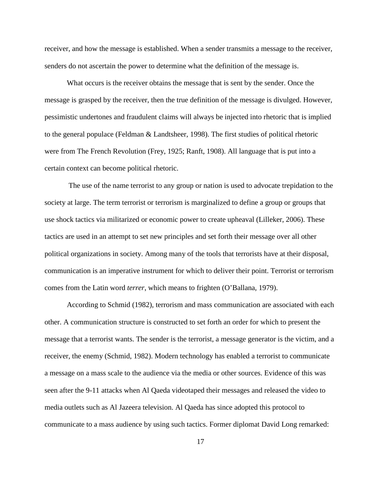receiver, and how the message is established. When a sender transmits a message to the receiver, senders do not ascertain the power to determine what the definition of the message is.

What occurs is the receiver obtains the message that is sent by the sender. Once the message is grasped by the receiver, then the true definition of the message is divulged. However, pessimistic undertones and fraudulent claims will always be injected into rhetoric that is implied to the general populace (Feldman & Landtsheer, 1998). The first studies of political rhetoric were from The French Revolution (Frey, 1925; Ranft, 1908). All language that is put into a certain context can become political rhetoric.

 The use of the name terrorist to any group or nation is used to advocate trepidation to the society at large. The term terrorist or terrorism is marginalized to define a group or groups that use shock tactics via militarized or economic power to create upheaval (Lilleker, 2006). These tactics are used in an attempt to set new principles and set forth their message over all other political organizations in society. Among many of the tools that terrorists have at their disposal, communication is an imperative instrument for which to deliver their point. Terrorist or terrorism comes from the Latin word *terrer*, which means to frighten (O'Ballana, 1979).

According to Schmid (1982), terrorism and mass communication are associated with each other. A communication structure is constructed to set forth an order for which to present the message that a terrorist wants. The sender is the terrorist, a message generator is the victim, and a receiver, the enemy (Schmid, 1982). Modern technology has enabled a terrorist to communicate a message on a mass scale to the audience via the media or other sources. Evidence of this was seen after the 9-11 attacks when Al Qaeda videotaped their messages and released the video to media outlets such as Al Jazeera television. Al Qaeda has since adopted this protocol to communicate to a mass audience by using such tactics. Former diplomat David Long remarked: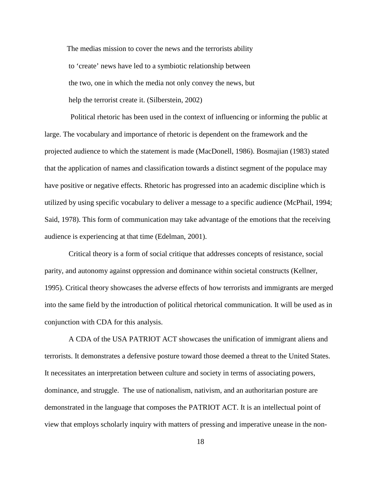The medias mission to cover the news and the terrorists ability to 'create' news have led to a symbiotic relationship between the two, one in which the media not only convey the news, but help the terrorist create it. (Silberstein, 2002)

 Political rhetoric has been used in the context of influencing or informing the public at large. The vocabulary and importance of rhetoric is dependent on the framework and the projected audience to which the statement is made (MacDonell, 1986). Bosmajian (1983) stated that the application of names and classification towards a distinct segment of the populace may have positive or negative effects. Rhetoric has progressed into an academic discipline which is utilized by using specific vocabulary to deliver a message to a specific audience (McPhail, 1994; Said, 1978). This form of communication may take advantage of the emotions that the receiving audience is experiencing at that time (Edelman, 2001).

 Critical theory is a form of social critique that addresses concepts of resistance, social parity, and autonomy against oppression and dominance within societal constructs (Kellner, 1995). Critical theory showcases the adverse effects of how terrorists and immigrants are merged into the same field by the introduction of political rhetorical communication. It will be used as in conjunction with CDA for this analysis.

 A CDA of the USA PATRIOT ACT showcases the unification of immigrant aliens and terrorists. It demonstrates a defensive posture toward those deemed a threat to the United States. It necessitates an interpretation between culture and society in terms of associating powers, dominance, and struggle. The use of nationalism, nativism, and an authoritarian posture are demonstrated in the language that composes the PATRIOT ACT. It is an intellectual point of view that employs scholarly inquiry with matters of pressing and imperative unease in the non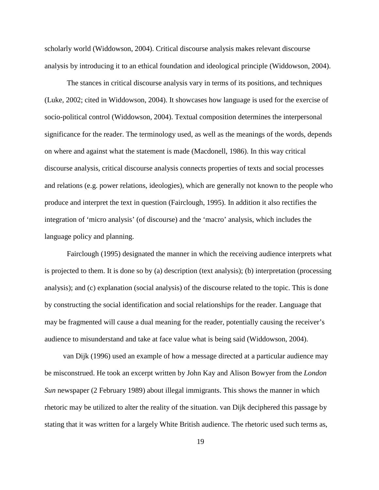scholarly world (Widdowson, 2004). Critical discourse analysis makes relevant discourse analysis by introducing it to an ethical foundation and ideological principle (Widdowson, 2004).

 The stances in critical discourse analysis vary in terms of its positions, and techniques (Luke, 2002; cited in Widdowson, 2004). It showcases how language is used for the exercise of socio-political control (Widdowson, 2004). Textual composition determines the interpersonal significance for the reader. The terminology used, as well as the meanings of the words, depends on where and against what the statement is made (Macdonell, 1986). In this way critical discourse analysis, critical discourse analysis connects properties of texts and social processes and relations (e.g. power relations, ideologies), which are generally not known to the people who produce and interpret the text in question (Fairclough, 1995). In addition it also rectifies the integration of 'micro analysis' (of discourse) and the 'macro' analysis, which includes the language policy and planning.

 Fairclough (1995) designated the manner in which the receiving audience interprets what is projected to them. It is done so by (a) description (text analysis); (b) interpretation (processing analysis); and (c) explanation (social analysis) of the discourse related to the topic. This is done by constructing the social identification and social relationships for the reader. Language that may be fragmented will cause a dual meaning for the reader, potentially causing the receiver's audience to misunderstand and take at face value what is being said (Widdowson, 2004).

 van Dijk (1996) used an example of how a message directed at a particular audience may be misconstrued. He took an excerpt written by John Kay and Alison Bowyer from the *London Sun* newspaper (2 February 1989) about illegal immigrants. This shows the manner in which rhetoric may be utilized to alter the reality of the situation. van Dijk deciphered this passage by stating that it was written for a largely White British audience. The rhetoric used such terms as,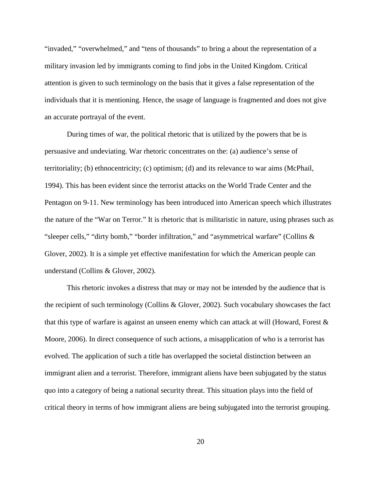"invaded," "overwhelmed," and "tens of thousands" to bring a about the representation of a military invasion led by immigrants coming to find jobs in the United Kingdom. Critical attention is given to such terminology on the basis that it gives a false representation of the individuals that it is mentioning. Hence, the usage of language is fragmented and does not give an accurate portrayal of the event.

 During times of war, the political rhetoric that is utilized by the powers that be is persuasive and undeviating. War rhetoric concentrates on the: (a) audience's sense of territoriality; (b) ethnocentricity; (c) optimism; (d) and its relevance to war aims (McPhail, 1994). This has been evident since the terrorist attacks on the World Trade Center and the Pentagon on 9-11. New terminology has been introduced into American speech which illustrates the nature of the "War on Terror." It is rhetoric that is militaristic in nature, using phrases such as "sleeper cells," "dirty bomb," "border infiltration," and "asymmetrical warfare" (Collins & Glover, 2002). It is a simple yet effective manifestation for which the American people can understand (Collins & Glover, 2002).

This rhetoric invokes a distress that may or may not be intended by the audience that is the recipient of such terminology (Collins & Glover, 2002). Such vocabulary showcases the fact that this type of warfare is against an unseen enemy which can attack at will (Howard, Forest & Moore, 2006). In direct consequence of such actions, a misapplication of who is a terrorist has evolved. The application of such a title has overlapped the societal distinction between an immigrant alien and a terrorist. Therefore, immigrant aliens have been subjugated by the status quo into a category of being a national security threat. This situation plays into the field of critical theory in terms of how immigrant aliens are being subjugated into the terrorist grouping.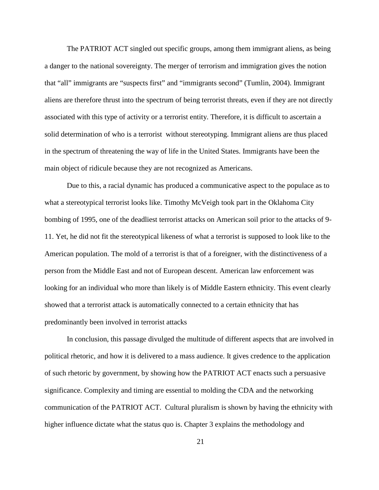The PATRIOT ACT singled out specific groups, among them immigrant aliens, as being a danger to the national sovereignty. The merger of terrorism and immigration gives the notion that "all" immigrants are "suspects first" and "immigrants second" (Tumlin, 2004). Immigrant aliens are therefore thrust into the spectrum of being terrorist threats, even if they are not directly associated with this type of activity or a terrorist entity. Therefore, it is difficult to ascertain a solid determination of who is a terrorist without stereotyping. Immigrant aliens are thus placed in the spectrum of threatening the way of life in the United States. Immigrants have been the main object of ridicule because they are not recognized as Americans.

Due to this, a racial dynamic has produced a communicative aspect to the populace as to what a stereotypical terrorist looks like. Timothy McVeigh took part in the Oklahoma City bombing of 1995, one of the deadliest terrorist attacks on American soil prior to the attacks of 9- 11. Yet, he did not fit the stereotypical likeness of what a terrorist is supposed to look like to the American population. The mold of a terrorist is that of a foreigner, with the distinctiveness of a person from the Middle East and not of European descent. American law enforcement was looking for an individual who more than likely is of Middle Eastern ethnicity. This event clearly showed that a terrorist attack is automatically connected to a certain ethnicity that has predominantly been involved in terrorist attacks

In conclusion, this passage divulged the multitude of different aspects that are involved in political rhetoric, and how it is delivered to a mass audience. It gives credence to the application of such rhetoric by government, by showing how the PATRIOT ACT enacts such a persuasive significance. Complexity and timing are essential to molding the CDA and the networking communication of the PATRIOT ACT. Cultural pluralism is shown by having the ethnicity with higher influence dictate what the status quo is. Chapter 3 explains the methodology and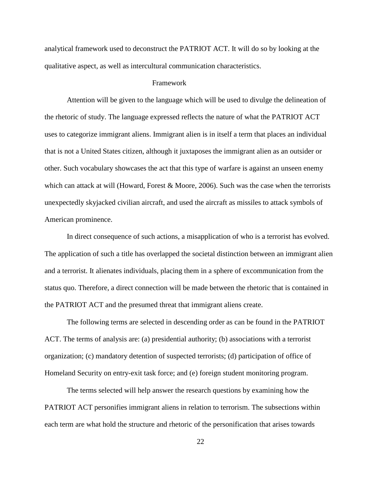analytical framework used to deconstruct the PATRIOT ACT. It will do so by looking at the qualitative aspect, as well as intercultural communication characteristics.

## Framework

Attention will be given to the language which will be used to divulge the delineation of the rhetoric of study. The language expressed reflects the nature of what the PATRIOT ACT uses to categorize immigrant aliens. Immigrant alien is in itself a term that places an individual that is not a United States citizen, although it juxtaposes the immigrant alien as an outsider or other. Such vocabulary showcases the act that this type of warfare is against an unseen enemy which can attack at will (Howard, Forest & Moore, 2006). Such was the case when the terrorists unexpectedly skyjacked civilian aircraft, and used the aircraft as missiles to attack symbols of American prominence.

In direct consequence of such actions, a misapplication of who is a terrorist has evolved. The application of such a title has overlapped the societal distinction between an immigrant alien and a terrorist. It alienates individuals, placing them in a sphere of excommunication from the status quo. Therefore, a direct connection will be made between the rhetoric that is contained in the PATRIOT ACT and the presumed threat that immigrant aliens create.

The following terms are selected in descending order as can be found in the PATRIOT ACT. The terms of analysis are: (a) presidential authority; (b) associations with a terrorist organization; (c) mandatory detention of suspected terrorists; (d) participation of office of Homeland Security on entry-exit task force; and (e) foreign student monitoring program.

The terms selected will help answer the research questions by examining how the PATRIOT ACT personifies immigrant aliens in relation to terrorism. The subsections within each term are what hold the structure and rhetoric of the personification that arises towards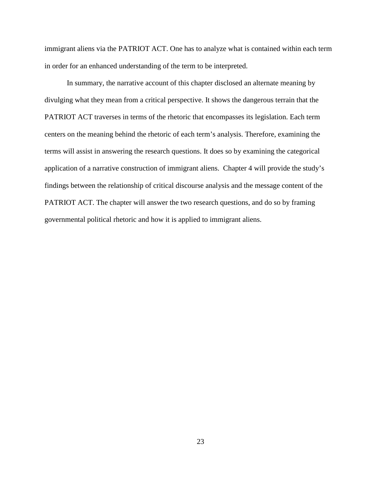immigrant aliens via the PATRIOT ACT. One has to analyze what is contained within each term in order for an enhanced understanding of the term to be interpreted.

In summary, the narrative account of this chapter disclosed an alternate meaning by divulging what they mean from a critical perspective. It shows the dangerous terrain that the PATRIOT ACT traverses in terms of the rhetoric that encompasses its legislation. Each term centers on the meaning behind the rhetoric of each term's analysis. Therefore, examining the terms will assist in answering the research questions. It does so by examining the categorical application of a narrative construction of immigrant aliens. Chapter 4 will provide the study's findings between the relationship of critical discourse analysis and the message content of the PATRIOT ACT. The chapter will answer the two research questions, and do so by framing governmental political rhetoric and how it is applied to immigrant aliens.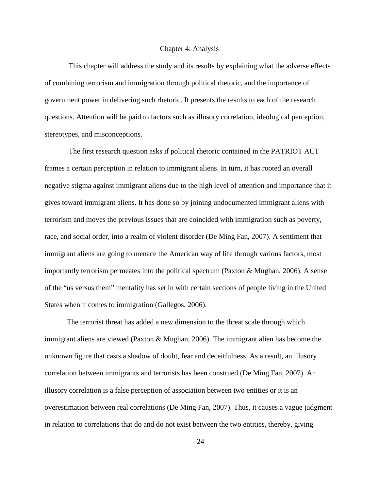#### Chapter 4: Analysis

 This chapter will address the study and its results by explaining what the adverse effects of combining terrorism and immigration through political rhetoric, and the importance of government power in delivering such rhetoric. It presents the results to each of the research questions. Attention will be paid to factors such as illusory correlation, ideological perception, stereotypes, and misconceptions.

 The first research question asks if political rhetoric contained in the PATRIOT ACT frames a certain perception in relation to immigrant aliens. In turn, it has rooted an overall negative stigma against immigrant aliens due to the high level of attention and importance that it gives toward immigrant aliens. It has done so by joining undocumented immigrant aliens with terrorism and moves the previous issues that are coincided with immigration such as poverty, race, and social order, into a realm of violent disorder (De Ming Fan, 2007). A sentiment that immigrant aliens are going to menace the American way of life through various factors, most importantly terrorism permeates into the political spectrum (Paxton & Mughan, 2006). A sense of the "us versus them" mentality has set in with certain sections of people living in the United States when it comes to immigration (Gallegos, 2006).

The terrorist threat has added a new dimension to the threat scale through which immigrant aliens are viewed (Paxton & Mughan, 2006). The immigrant alien has become the unknown figure that casts a shadow of doubt, fear and deceitfulness. As a result, an illusory correlation between immigrants and terrorists has been construed (De Ming Fan, 2007). An illusory correlation is a false perception of association between two entities or it is an overestimation between real correlations (De Ming Fan, 2007). Thus, it causes a vague judgment in relation to correlations that do and do not exist between the two entities, thereby, giving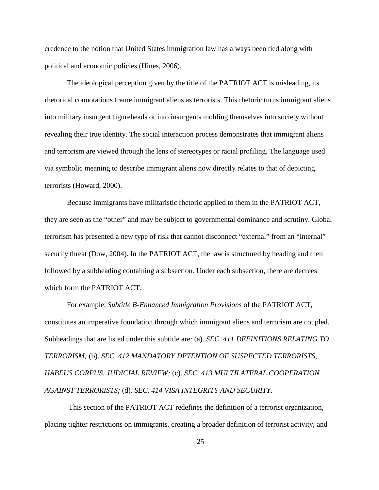credence to the notion that United States immigration law has always been tied along with political and economic policies (Hines, 2006).

The ideological perception given by the title of the PATRIOT ACT is misleading, its rhetorical connotations frame immigrant aliens as terrorists. This rhetoric turns immigrant aliens into military insurgent figureheads or into insurgents molding themselves into society without revealing their true identity. The social interaction process demonstrates that immigrant aliens and terrorism are viewed through the lens of stereotypes or racial profiling. The language used via symbolic meaning to describe immigrant aliens now directly relates to that of depicting terrorists (Howard, 2000).

Because immigrants have militaristic rhetoric applied to them in the PATRIOT ACT, they are seen as the "other" and may be subject to governmental dominance and scrutiny. Global terrorism has presented a new type of risk that cannot disconnect "external" from an "internal" security threat (Dow, 2004). In the PATRIOT ACT, the law is structured by heading and then followed by a subheading containing a subsection. Under each subsection, there are decrees which form the PATRIOT ACT.

For example, *Subtitle B-Enhanced Immigration Provisions* of the PATRIOT ACT, constitutes an imperative foundation through which immigrant aliens and terrorism are coupled. Subheadings that are listed under this subtitle are: (a). *SEC. 411 DEFINITIONS RELATING TO TERRORISM;* (b). *SEC. 412 MANDATORY DETENTION OF SUSPECTED TERRORISTS, HABEUS CORPUS, JUDICIAL REVIEW;* (c). *SEC. 413 MULTILATERAL COOPERATION AGAINST TERRORISTS;* (d). *SEC. 414 VISA INTEGRITY AND SECURITY.* 

 This section of the PATRIOT ACT redefines the definition of a terrorist organization, placing tighter restrictions on immigrants, creating a broader definition of terrorist activity, and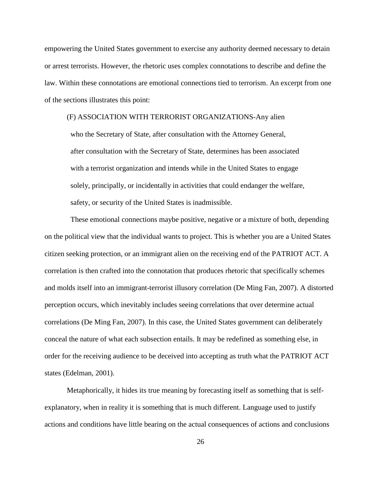empowering the United States government to exercise any authority deemed necessary to detain or arrest terrorists. However, the rhetoric uses complex connotations to describe and define the law. Within these connotations are emotional connections tied to terrorism. An excerpt from one of the sections illustrates this point:

# (F) ASSOCIATION WITH TERRORIST ORGANIZATIONS-Any alien

 who the Secretary of State, after consultation with the Attorney General, after consultation with the Secretary of State, determines has been associated with a terrorist organization and intends while in the United States to engage solely, principally, or incidentally in activities that could endanger the welfare, safety, or security of the United States is inadmissible.

 These emotional connections maybe positive, negative or a mixture of both, depending on the political view that the individual wants to project. This is whether you are a United States citizen seeking protection, or an immigrant alien on the receiving end of the PATRIOT ACT. A correlation is then crafted into the connotation that produces rhetoric that specifically schemes and molds itself into an immigrant-terrorist illusory correlation (De Ming Fan, 2007). A distorted perception occurs, which inevitably includes seeing correlations that over determine actual correlations (De Ming Fan, 2007). In this case, the United States government can deliberately conceal the nature of what each subsection entails. It may be redefined as something else, in order for the receiving audience to be deceived into accepting as truth what the PATRIOT ACT states (Edelman, 2001).

Metaphorically, it hides its true meaning by forecasting itself as something that is selfexplanatory, when in reality it is something that is much different. Language used to justify actions and conditions have little bearing on the actual consequences of actions and conclusions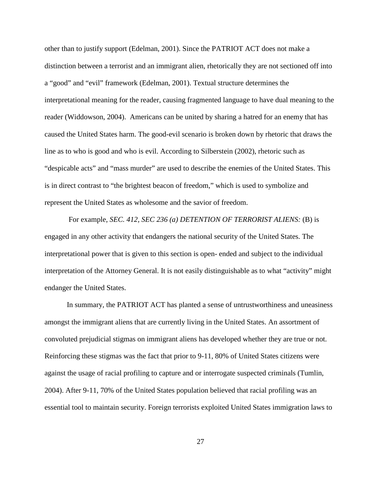other than to justify support (Edelman, 2001). Since the PATRIOT ACT does not make a distinction between a terrorist and an immigrant alien, rhetorically they are not sectioned off into a "good" and "evil" framework (Edelman, 2001). Textual structure determines the interpretational meaning for the reader, causing fragmented language to have dual meaning to the reader (Widdowson, 2004). Americans can be united by sharing a hatred for an enemy that has caused the United States harm. The good-evil scenario is broken down by rhetoric that draws the line as to who is good and who is evil. According to Silberstein (2002), rhetoric such as "despicable acts" and "mass murder" are used to describe the enemies of the United States. This is in direct contrast to "the brightest beacon of freedom," which is used to symbolize and represent the United States as wholesome and the savior of freedom.

 For example, *SEC. 412, SEC 236 (a) DETENTION OF TERRORIST ALIENS:* (B) is engaged in any other activity that endangers the national security of the United States. The interpretational power that is given to this section is open- ended and subject to the individual interpretation of the Attorney General. It is not easily distinguishable as to what "activity" might endanger the United States.

In summary, the PATRIOT ACT has planted a sense of untrustworthiness and uneasiness amongst the immigrant aliens that are currently living in the United States. An assortment of convoluted prejudicial stigmas on immigrant aliens has developed whether they are true or not. Reinforcing these stigmas was the fact that prior to 9-11, 80% of United States citizens were against the usage of racial profiling to capture and or interrogate suspected criminals (Tumlin, 2004). After 9-11, 70% of the United States population believed that racial profiling was an essential tool to maintain security. Foreign terrorists exploited United States immigration laws to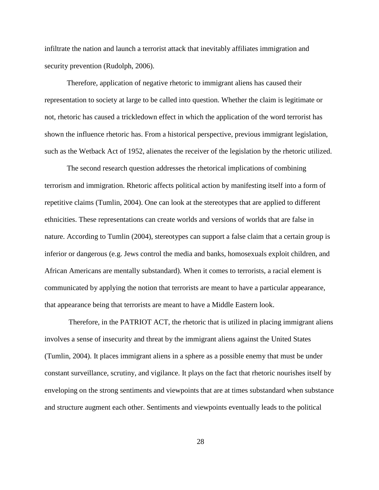infiltrate the nation and launch a terrorist attack that inevitably affiliates immigration and security prevention (Rudolph, 2006).

Therefore, application of negative rhetoric to immigrant aliens has caused their representation to society at large to be called into question. Whether the claim is legitimate or not, rhetoric has caused a trickledown effect in which the application of the word terrorist has shown the influence rhetoric has. From a historical perspective, previous immigrant legislation, such as the Wetback Act of 1952, alienates the receiver of the legislation by the rhetoric utilized.

The second research question addresses the rhetorical implications of combining terrorism and immigration. Rhetoric affects political action by manifesting itself into a form of repetitive claims (Tumlin, 2004). One can look at the stereotypes that are applied to different ethnicities. These representations can create worlds and versions of worlds that are false in nature. According to Tumlin (2004), stereotypes can support a false claim that a certain group is inferior or dangerous (e.g. Jews control the media and banks, homosexuals exploit children, and African Americans are mentally substandard). When it comes to terrorists, a racial element is communicated by applying the notion that terrorists are meant to have a particular appearance, that appearance being that terrorists are meant to have a Middle Eastern look.

Therefore, in the PATRIOT ACT, the rhetoric that is utilized in placing immigrant aliens involves a sense of insecurity and threat by the immigrant aliens against the United States (Tumlin, 2004). It places immigrant aliens in a sphere as a possible enemy that must be under constant surveillance, scrutiny, and vigilance. It plays on the fact that rhetoric nourishes itself by enveloping on the strong sentiments and viewpoints that are at times substandard when substance and structure augment each other. Sentiments and viewpoints eventually leads to the political

28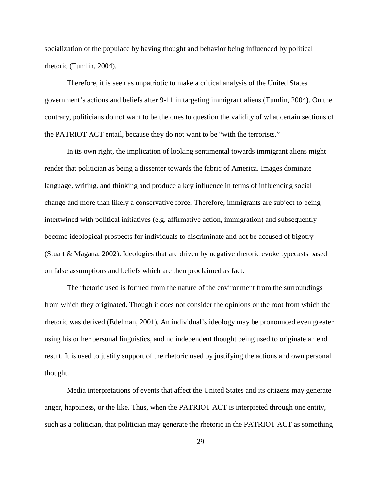socialization of the populace by having thought and behavior being influenced by political rhetoric (Tumlin, 2004).

Therefore, it is seen as unpatriotic to make a critical analysis of the United States government's actions and beliefs after 9-11 in targeting immigrant aliens (Tumlin, 2004). On the contrary, politicians do not want to be the ones to question the validity of what certain sections of the PATRIOT ACT entail, because they do not want to be "with the terrorists."

In its own right, the implication of looking sentimental towards immigrant aliens might render that politician as being a dissenter towards the fabric of America. Images dominate language, writing, and thinking and produce a key influence in terms of influencing social change and more than likely a conservative force. Therefore, immigrants are subject to being intertwined with political initiatives (e.g. affirmative action, immigration) and subsequently become ideological prospects for individuals to discriminate and not be accused of bigotry (Stuart & Magana, 2002). Ideologies that are driven by negative rhetoric evoke typecasts based on false assumptions and beliefs which are then proclaimed as fact.

The rhetoric used is formed from the nature of the environment from the surroundings from which they originated. Though it does not consider the opinions or the root from which the rhetoric was derived (Edelman, 2001). An individual's ideology may be pronounced even greater using his or her personal linguistics, and no independent thought being used to originate an end result. It is used to justify support of the rhetoric used by justifying the actions and own personal thought.

Media interpretations of events that affect the United States and its citizens may generate anger, happiness, or the like. Thus, when the PATRIOT ACT is interpreted through one entity, such as a politician, that politician may generate the rhetoric in the PATRIOT ACT as something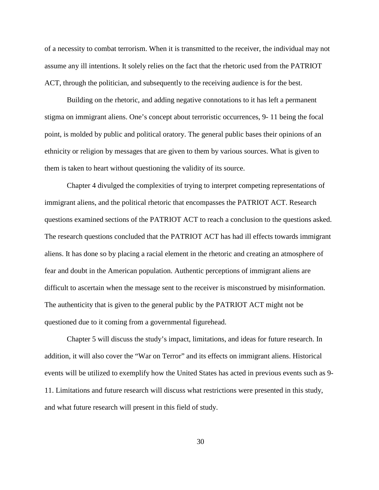of a necessity to combat terrorism. When it is transmitted to the receiver, the individual may not assume any ill intentions. It solely relies on the fact that the rhetoric used from the PATRIOT ACT, through the politician, and subsequently to the receiving audience is for the best.

Building on the rhetoric, and adding negative connotations to it has left a permanent stigma on immigrant aliens. One's concept about terroristic occurrences, 9- 11 being the focal point, is molded by public and political oratory. The general public bases their opinions of an ethnicity or religion by messages that are given to them by various sources. What is given to them is taken to heart without questioning the validity of its source.

Chapter 4 divulged the complexities of trying to interpret competing representations of immigrant aliens, and the political rhetoric that encompasses the PATRIOT ACT. Research questions examined sections of the PATRIOT ACT to reach a conclusion to the questions asked. The research questions concluded that the PATRIOT ACT has had ill effects towards immigrant aliens. It has done so by placing a racial element in the rhetoric and creating an atmosphere of fear and doubt in the American population. Authentic perceptions of immigrant aliens are difficult to ascertain when the message sent to the receiver is misconstrued by misinformation. The authenticity that is given to the general public by the PATRIOT ACT might not be questioned due to it coming from a governmental figurehead.

Chapter 5 will discuss the study's impact, limitations, and ideas for future research. In addition, it will also cover the "War on Terror" and its effects on immigrant aliens. Historical events will be utilized to exemplify how the United States has acted in previous events such as 9- 11. Limitations and future research will discuss what restrictions were presented in this study, and what future research will present in this field of study.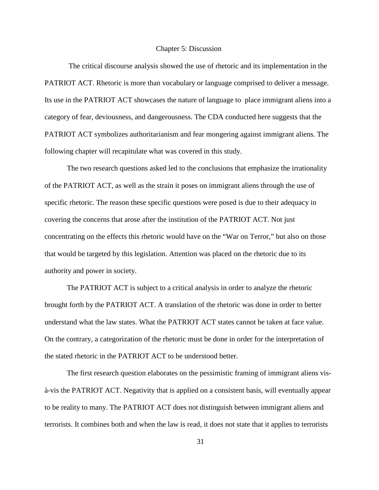#### Chapter 5: Discussion

 The critical discourse analysis showed the use of rhetoric and its implementation in the PATRIOT ACT. Rhetoric is more than vocabulary or language comprised to deliver a message. Its use in the PATRIOT ACT showcases the nature of language to place immigrant aliens into a category of fear, deviousness, and dangerousness. The CDA conducted here suggests that the PATRIOT ACT symbolizes authoritarianism and fear mongering against immigrant aliens. The following chapter will recapitulate what was covered in this study.

The two research questions asked led to the conclusions that emphasize the irrationality of the PATRIOT ACT, as well as the strain it poses on immigrant aliens through the use of specific rhetoric. The reason these specific questions were posed is due to their adequacy in covering the concerns that arose after the institution of the PATRIOT ACT. Not just concentrating on the effects this rhetoric would have on the "War on Terror," but also on those that would be targeted by this legislation. Attention was placed on the rhetoric due to its authority and power in society.

The PATRIOT ACT is subject to a critical analysis in order to analyze the rhetoric brought forth by the PATRIOT ACT. A translation of the rhetoric was done in order to better understand what the law states. What the PATRIOT ACT states cannot be taken at face value. On the contrary, a categorization of the rhetoric must be done in order for the interpretation of the stated rhetoric in the PATRIOT ACT to be understood better.

The first research question elaborates on the pessimistic framing of immigrant aliens visà-vis the PATRIOT ACT. Negativity that is applied on a consistent basis, will eventually appear to be reality to many. The PATRIOT ACT does not distinguish between immigrant aliens and terrorists. It combines both and when the law is read, it does not state that it applies to terrorists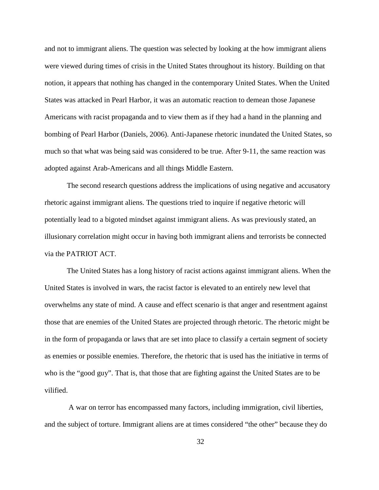and not to immigrant aliens. The question was selected by looking at the how immigrant aliens were viewed during times of crisis in the United States throughout its history. Building on that notion, it appears that nothing has changed in the contemporary United States. When the United States was attacked in Pearl Harbor, it was an automatic reaction to demean those Japanese Americans with racist propaganda and to view them as if they had a hand in the planning and bombing of Pearl Harbor (Daniels, 2006). Anti-Japanese rhetoric inundated the United States, so much so that what was being said was considered to be true. After 9-11, the same reaction was adopted against Arab-Americans and all things Middle Eastern.

The second research questions address the implications of using negative and accusatory rhetoric against immigrant aliens. The questions tried to inquire if negative rhetoric will potentially lead to a bigoted mindset against immigrant aliens. As was previously stated, an illusionary correlation might occur in having both immigrant aliens and terrorists be connected via the PATRIOT ACT.

The United States has a long history of racist actions against immigrant aliens. When the United States is involved in wars, the racist factor is elevated to an entirely new level that overwhelms any state of mind. A cause and effect scenario is that anger and resentment against those that are enemies of the United States are projected through rhetoric. The rhetoric might be in the form of propaganda or laws that are set into place to classify a certain segment of society as enemies or possible enemies. Therefore, the rhetoric that is used has the initiative in terms of who is the "good guy". That is, that those that are fighting against the United States are to be vilified.

 A war on terror has encompassed many factors, including immigration, civil liberties, and the subject of torture. Immigrant aliens are at times considered "the other" because they do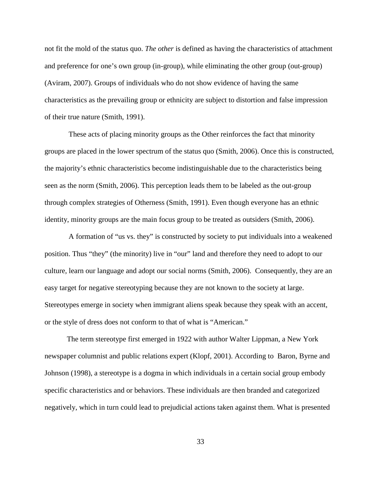not fit the mold of the status quo. *The other* is defined as having the characteristics of attachment and preference for one's own group (in-group), while eliminating the other group (out-group) (Aviram, 2007). Groups of individuals who do not show evidence of having the same characteristics as the prevailing group or ethnicity are subject to distortion and false impression of their true nature (Smith, 1991).

 These acts of placing minority groups as the Other reinforces the fact that minority groups are placed in the lower spectrum of the status quo (Smith, 2006). Once this is constructed, the majority's ethnic characteristics become indistinguishable due to the characteristics being seen as the norm (Smith, 2006). This perception leads them to be labeled as the out-group through complex strategies of Otherness (Smith, 1991). Even though everyone has an ethnic identity, minority groups are the main focus group to be treated as outsiders (Smith, 2006).

 A formation of "us vs. they" is constructed by society to put individuals into a weakened position. Thus "they" (the minority) live in "our" land and therefore they need to adopt to our culture, learn our language and adopt our social norms (Smith, 2006). Consequently, they are an easy target for negative stereotyping because they are not known to the society at large. Stereotypes emerge in society when immigrant aliens speak because they speak with an accent, or the style of dress does not conform to that of what is "American."

The term stereotype first emerged in 1922 with author Walter Lippman, a New York newspaper columnist and public relations expert (Klopf, 2001). According to Baron, Byrne and Johnson (1998), a stereotype is a dogma in which individuals in a certain social group embody specific characteristics and or behaviors. These individuals are then branded and categorized negatively, which in turn could lead to prejudicial actions taken against them. What is presented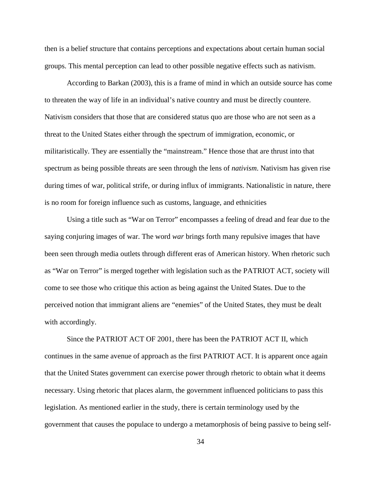then is a belief structure that contains perceptions and expectations about certain human social groups. This mental perception can lead to other possible negative effects such as nativism.

According to Barkan (2003), this is a frame of mind in which an outside source has come to threaten the way of life in an individual's native country and must be directly countere. Nativism considers that those that are considered status quo are those who are not seen as a threat to the United States either through the spectrum of immigration, economic, or militaristically. They are essentially the "mainstream." Hence those that are thrust into that spectrum as being possible threats are seen through the lens of *nativism*. Nativism has given rise during times of war, political strife, or during influx of immigrants. Nationalistic in nature, there is no room for foreign influence such as customs, language, and ethnicities

Using a title such as "War on Terror" encompasses a feeling of dread and fear due to the saying conjuring images of war. The word *war* brings forth many repulsive images that have been seen through media outlets through different eras of American history. When rhetoric such as "War on Terror" is merged together with legislation such as the PATRIOT ACT, society will come to see those who critique this action as being against the United States. Due to the perceived notion that immigrant aliens are "enemies" of the United States, they must be dealt with accordingly.

Since the PATRIOT ACT OF 2001, there has been the PATRIOT ACT II, which continues in the same avenue of approach as the first PATRIOT ACT. It is apparent once again that the United States government can exercise power through rhetoric to obtain what it deems necessary. Using rhetoric that places alarm, the government influenced politicians to pass this legislation. As mentioned earlier in the study, there is certain terminology used by the government that causes the populace to undergo a metamorphosis of being passive to being self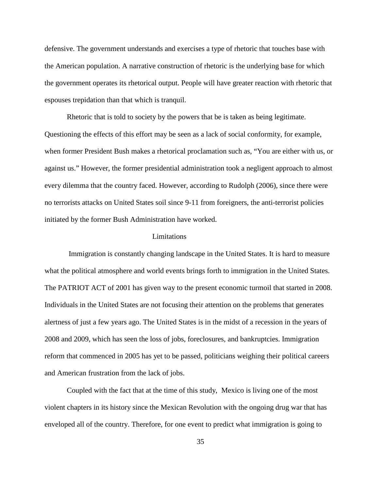defensive. The government understands and exercises a type of rhetoric that touches base with the American population. A narrative construction of rhetoric is the underlying base for which the government operates its rhetorical output. People will have greater reaction with rhetoric that espouses trepidation than that which is tranquil.

Rhetoric that is told to society by the powers that be is taken as being legitimate. Questioning the effects of this effort may be seen as a lack of social conformity, for example, when former President Bush makes a rhetorical proclamation such as, "You are either with us, or against us." However, the former presidential administration took a negligent approach to almost every dilemma that the country faced. However, according to Rudolph (2006), since there were no terrorists attacks on United States soil since 9-11 from foreigners, the anti-terrorist policies initiated by the former Bush Administration have worked.

# Limitations

 Immigration is constantly changing landscape in the United States. It is hard to measure what the political atmosphere and world events brings forth to immigration in the United States. The PATRIOT ACT of 2001 has given way to the present economic turmoil that started in 2008. Individuals in the United States are not focusing their attention on the problems that generates alertness of just a few years ago. The United States is in the midst of a recession in the years of 2008 and 2009, which has seen the loss of jobs, foreclosures, and bankruptcies. Immigration reform that commenced in 2005 has yet to be passed, politicians weighing their political careers and American frustration from the lack of jobs.

Coupled with the fact that at the time of this study, Mexico is living one of the most violent chapters in its history since the Mexican Revolution with the ongoing drug war that has enveloped all of the country. Therefore, for one event to predict what immigration is going to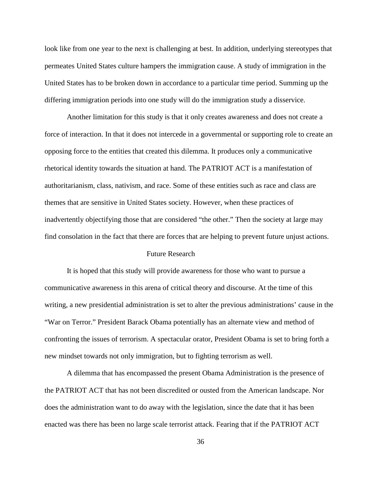look like from one year to the next is challenging at best. In addition, underlying stereotypes that permeates United States culture hampers the immigration cause. A study of immigration in the United States has to be broken down in accordance to a particular time period. Summing up the differing immigration periods into one study will do the immigration study a disservice.

Another limitation for this study is that it only creates awareness and does not create a force of interaction. In that it does not intercede in a governmental or supporting role to create an opposing force to the entities that created this dilemma. It produces only a communicative rhetorical identity towards the situation at hand. The PATRIOT ACT is a manifestation of authoritarianism, class, nativism, and race. Some of these entities such as race and class are themes that are sensitive in United States society. However, when these practices of inadvertently objectifying those that are considered "the other." Then the society at large may find consolation in the fact that there are forces that are helping to prevent future unjust actions.

# Future Research

It is hoped that this study will provide awareness for those who want to pursue a communicative awareness in this arena of critical theory and discourse. At the time of this writing, a new presidential administration is set to alter the previous administrations' cause in the "War on Terror." President Barack Obama potentially has an alternate view and method of confronting the issues of terrorism. A spectacular orator, President Obama is set to bring forth a new mindset towards not only immigration, but to fighting terrorism as well.

A dilemma that has encompassed the present Obama Administration is the presence of the PATRIOT ACT that has not been discredited or ousted from the American landscape. Nor does the administration want to do away with the legislation, since the date that it has been enacted was there has been no large scale terrorist attack. Fearing that if the PATRIOT ACT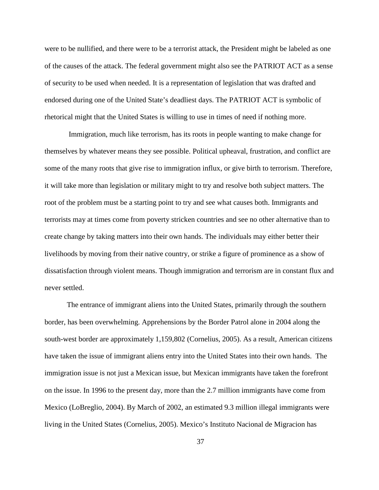were to be nullified, and there were to be a terrorist attack, the President might be labeled as one of the causes of the attack. The federal government might also see the PATRIOT ACT as a sense of security to be used when needed. It is a representation of legislation that was drafted and endorsed during one of the United State's deadliest days. The PATRIOT ACT is symbolic of rhetorical might that the United States is willing to use in times of need if nothing more.

 Immigration, much like terrorism, has its roots in people wanting to make change for themselves by whatever means they see possible. Political upheaval, frustration, and conflict are some of the many roots that give rise to immigration influx, or give birth to terrorism. Therefore, it will take more than legislation or military might to try and resolve both subject matters. The root of the problem must be a starting point to try and see what causes both. Immigrants and terrorists may at times come from poverty stricken countries and see no other alternative than to create change by taking matters into their own hands. The individuals may either better their livelihoods by moving from their native country, or strike a figure of prominence as a show of dissatisfaction through violent means. Though immigration and terrorism are in constant flux and never settled.

The entrance of immigrant aliens into the United States, primarily through the southern border, has been overwhelming. Apprehensions by the Border Patrol alone in 2004 along the south-west border are approximately 1,159,802 (Cornelius, 2005). As a result, American citizens have taken the issue of immigrant aliens entry into the United States into their own hands. The immigration issue is not just a Mexican issue, but Mexican immigrants have taken the forefront on the issue. In 1996 to the present day, more than the 2.7 million immigrants have come from Mexico (LoBreglio, 2004). By March of 2002, an estimated 9.3 million illegal immigrants were living in the United States (Cornelius, 2005). Mexico's Instituto Nacional de Migracion has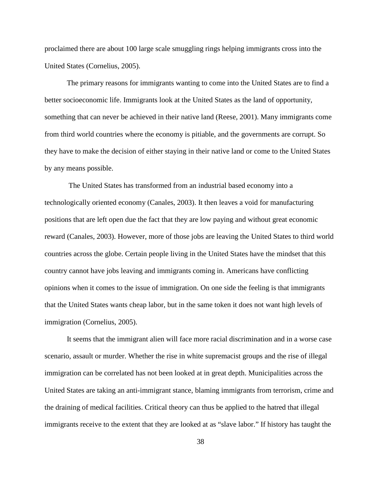proclaimed there are about 100 large scale smuggling rings helping immigrants cross into the United States (Cornelius, 2005).

The primary reasons for immigrants wanting to come into the United States are to find a better socioeconomic life. Immigrants look at the United States as the land of opportunity, something that can never be achieved in their native land (Reese, 2001). Many immigrants come from third world countries where the economy is pitiable, and the governments are corrupt. So they have to make the decision of either staying in their native land or come to the United States by any means possible.

 The United States has transformed from an industrial based economy into a technologically oriented economy (Canales, 2003). It then leaves a void for manufacturing positions that are left open due the fact that they are low paying and without great economic reward (Canales, 2003). However, more of those jobs are leaving the United States to third world countries across the globe. Certain people living in the United States have the mindset that this country cannot have jobs leaving and immigrants coming in. Americans have conflicting opinions when it comes to the issue of immigration. On one side the feeling is that immigrants that the United States wants cheap labor, but in the same token it does not want high levels of immigration (Cornelius, 2005).

It seems that the immigrant alien will face more racial discrimination and in a worse case scenario, assault or murder. Whether the rise in white supremacist groups and the rise of illegal immigration can be correlated has not been looked at in great depth. Municipalities across the United States are taking an anti-immigrant stance, blaming immigrants from terrorism, crime and the draining of medical facilities. Critical theory can thus be applied to the hatred that illegal immigrants receive to the extent that they are looked at as "slave labor." If history has taught the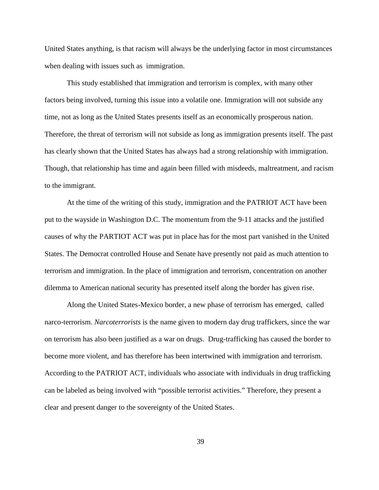United States anything, is that racism will always be the underlying factor in most circumstances when dealing with issues such as immigration.

This study established that immigration and terrorism is complex, with many other factors being involved, turning this issue into a volatile one. Immigration will not subside any time, not as long as the United States presents itself as an economically prosperous nation. Therefore, the threat of terrorism will not subside as long as immigration presents itself. The past has clearly shown that the United States has always had a strong relationship with immigration. Though, that relationship has time and again been filled with misdeeds, maltreatment, and racism to the immigrant.

At the time of the writing of this study, immigration and the PATRIOT ACT have been put to the wayside in Washington D.C. The momentum from the 9-11 attacks and the justified causes of why the PARTIOT ACT was put in place has for the most part vanished in the United States. The Democrat controlled House and Senate have presently not paid as much attention to terrorism and immigration. In the place of immigration and terrorism, concentration on another dilemma to American national security has presented itself along the border has given rise.

Along the United States-Mexico border, a new phase of terrorism has emerged, called narco-terrorism. *Narcoterrorists* is the name given to modern day drug traffickers, since the war on terrorism has also been justified as a war on drugs. Drug-trafficking has caused the border to become more violent, and has therefore has been intertwined with immigration and terrorism. According to the PATRIOT ACT, individuals who associate with individuals in drug trafficking can be labeled as being involved with "possible terrorist activities." Therefore, they present a clear and present danger to the sovereignty of the United States.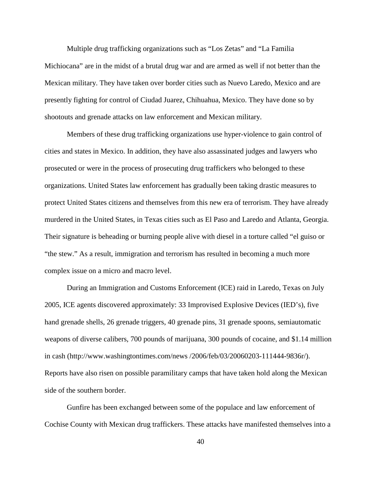Multiple drug trafficking organizations such as "Los Zetas" and "La Familia Michiocana" are in the midst of a brutal drug war and are armed as well if not better than the Mexican military. They have taken over border cities such as Nuevo Laredo, Mexico and are presently fighting for control of Ciudad Juarez, Chihuahua, Mexico. They have done so by shootouts and grenade attacks on law enforcement and Mexican military.

Members of these drug trafficking organizations use hyper-violence to gain control of cities and states in Mexico. In addition, they have also assassinated judges and lawyers who prosecuted or were in the process of prosecuting drug traffickers who belonged to these organizations. United States law enforcement has gradually been taking drastic measures to protect United States citizens and themselves from this new era of terrorism. They have already murdered in the United States, in Texas cities such as El Paso and Laredo and Atlanta, Georgia. Their signature is beheading or burning people alive with diesel in a torture called "el guiso or "the stew." As a result, immigration and terrorism has resulted in becoming a much more complex issue on a micro and macro level.

During an Immigration and Customs Enforcement (ICE) raid in Laredo, Texas on July 2005, ICE agents discovered approximately: 33 Improvised Explosive Devices (IED's), five hand grenade shells, 26 grenade triggers, 40 grenade pins, 31 grenade spoons, semiautomatic weapons of diverse calibers, 700 pounds of marijuana, 300 pounds of cocaine, and \$1.14 million in cash (http://www.washingtontimes.com/news /2006/feb/03/20060203-111444-9836r/). Reports have also risen on possible paramilitary camps that have taken hold along the Mexican side of the southern border.

Gunfire has been exchanged between some of the populace and law enforcement of Cochise County with Mexican drug traffickers. These attacks have manifested themselves into a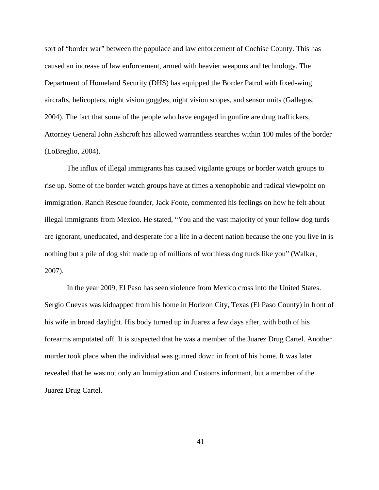sort of "border war" between the populace and law enforcement of Cochise County. This has caused an increase of law enforcement, armed with heavier weapons and technology. The Department of Homeland Security (DHS) has equipped the Border Patrol with fixed-wing aircrafts, helicopters, night vision goggles, night vision scopes, and sensor units (Gallegos, 2004). The fact that some of the people who have engaged in gunfire are drug traffickers, Attorney General John Ashcroft has allowed warrantless searches within 100 miles of the border (LoBreglio, 2004).

The influx of illegal immigrants has caused vigilante groups or border watch groups to rise up. Some of the border watch groups have at times a xenophobic and radical viewpoint on immigration. Ranch Rescue founder, Jack Foote, commented his feelings on how he felt about illegal immigrants from Mexico. He stated, "You and the vast majority of your fellow dog turds are ignorant, uneducated, and desperate for a life in a decent nation because the one you live in is nothing but a pile of dog shit made up of millions of worthless dog turds like you" (Walker, 2007).

In the year 2009, El Paso has seen violence from Mexico cross into the United States. Sergio Cuevas was kidnapped from his home in Horizon City, Texas (El Paso County) in front of his wife in broad daylight. His body turned up in Juarez a few days after, with both of his forearms amputated off. It is suspected that he was a member of the Juarez Drug Cartel. Another murder took place when the individual was gunned down in front of his home. It was later revealed that he was not only an Immigration and Customs informant, but a member of the Juarez Drug Cartel.

41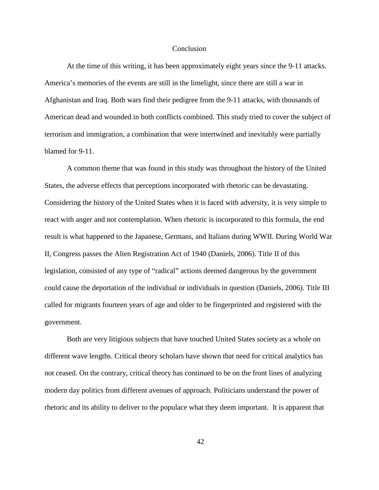## **Conclusion**

At the time of this writing, it has been approximately eight years since the 9-11 attacks. America's memories of the events are still in the limelight, since there are still a war in Afghanistan and Iraq. Both wars find their pedigree from the 9-11 attacks, with thousands of American dead and wounded in both conflicts combined. This study tried to cover the subject of terrorism and immigration, a combination that were intertwined and inevitably were partially blamed for 9-11.

A common theme that was found in this study was throughout the history of the United States, the adverse effects that perceptions incorporated with rhetoric can be devastating. Considering the history of the United States when it is faced with adversity, it is very simple to react with anger and not contemplation. When rhetoric is incorporated to this formula, the end result is what happened to the Japanese, Germans, and Italians during WWII. During World War II, Congress passes the Alien Registration Act of 1940 (Daniels, 2006). Title II of this legislation, consisted of any type of "radical" actions deemed dangerous by the government could cause the deportation of the individual or individuals in question (Daniels, 2006). Title III called for migrants fourteen years of age and older to be fingerprinted and registered with the government.

Both are very litigious subjects that have touched United States society as a whole on different wave lengths. Critical theory scholars have shown that need for critical analytics has not ceased. On the contrary, critical theory has continued to be on the front lines of analyzing modern day politics from different avenues of approach. Politicians understand the power of rhetoric and its ability to deliver to the populace what they deem important. It is apparent that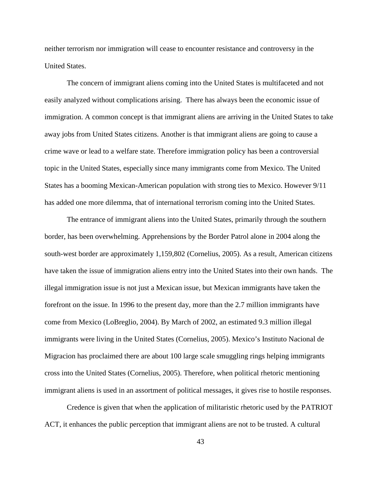neither terrorism nor immigration will cease to encounter resistance and controversy in the United States.

The concern of immigrant aliens coming into the United States is multifaceted and not easily analyzed without complications arising. There has always been the economic issue of immigration. A common concept is that immigrant aliens are arriving in the United States to take away jobs from United States citizens. Another is that immigrant aliens are going to cause a crime wave or lead to a welfare state. Therefore immigration policy has been a controversial topic in the United States, especially since many immigrants come from Mexico. The United States has a booming Mexican-American population with strong ties to Mexico. However 9/11 has added one more dilemma, that of international terrorism coming into the United States.

The entrance of immigrant aliens into the United States, primarily through the southern border, has been overwhelming. Apprehensions by the Border Patrol alone in 2004 along the south-west border are approximately 1,159,802 (Cornelius, 2005). As a result, American citizens have taken the issue of immigration aliens entry into the United States into their own hands. The illegal immigration issue is not just a Mexican issue, but Mexican immigrants have taken the forefront on the issue. In 1996 to the present day, more than the 2.7 million immigrants have come from Mexico (LoBreglio, 2004). By March of 2002, an estimated 9.3 million illegal immigrants were living in the United States (Cornelius, 2005). Mexico's Instituto Nacional de Migracion has proclaimed there are about 100 large scale smuggling rings helping immigrants cross into the United States (Cornelius, 2005). Therefore, when political rhetoric mentioning immigrant aliens is used in an assortment of political messages, it gives rise to hostile responses.

Credence is given that when the application of militaristic rhetoric used by the PATRIOT ACT, it enhances the public perception that immigrant aliens are not to be trusted. A cultural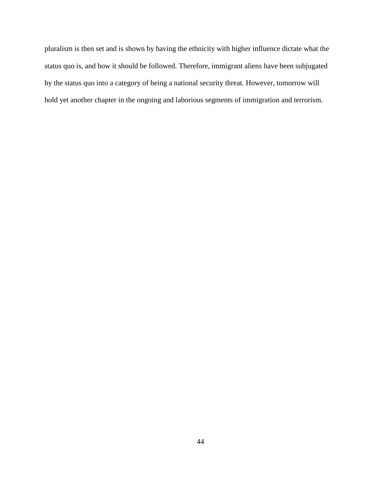pluralism is then set and is shown by having the ethnicity with higher influence dictate what the status quo is, and how it should be followed. Therefore, immigrant aliens have been subjugated by the status quo into a category of being a national security threat. However, tomorrow will hold yet another chapter in the ongoing and laborious segments of immigration and terrorism.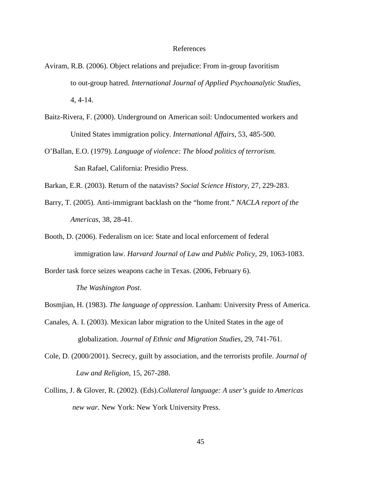### References

- Aviram, R.B. (2006). Object relations and prejudice: From in-group favoritism to out-group hatred. *International Journal of Applied Psychoanalytic Studies*, 4, 4-14.
- Baitz-Rivera, F. (2000). Underground on American soil: Undocumented workers and United States immigration policy. *International Affairs*, 53, 485-500.
- O'Ballan, E.O. (1979). *Language of violence: The blood politics of terrorism*. San Rafael, California: Presidio Press.
- Barkan, E.R. (2003). Return of the natavists? *Social Science History*, 27, 229-283.
- Barry, T. (2005). Anti-immigrant backlash on the "home front." *NACLA report of the Americas*, 38, 28-41.
- Booth, D. (2006). Federalism on ice: State and local enforcement of federal immigration law. *Harvard Journal of Law and Public Policy*, 29, 1063-1083.

Border task force seizes weapons cache in Texas. (2006, February 6).

*The Washington Post*.

- Bosmjian, H. (1983). *The language of oppression*. Lanham: University Press of America.
- Canales, A. I. (2003). Mexican labor migration to the United States in the age of globalization. *Journal of Ethnic and Migration Studies*, 29, 741-761.
- Cole, D. (2000/2001). Secrecy, guilt by association, and the terrorists profile. *Journal of Law and Religion*, 15, 267-288.
- Collins, J. & Glover, R. (2002). (Eds).*Collateral language: A user's guide to Americas new war*. New York: New York University Press.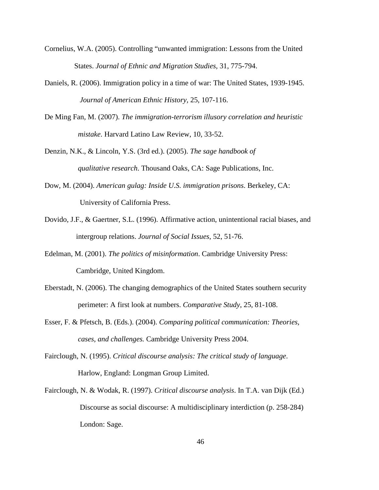- Cornelius, W.A. (2005). Controlling "unwanted immigration: Lessons from the United States. *Journal of Ethnic and Migration Studies,* 31, 775-794.
- Daniels, R. (2006). Immigration policy in a time of war: The United States, 1939-1945. *Journal of American Ethnic History,* 25, 107-116.
- De Ming Fan, M. (2007). *The immigration-terrorism illusory correlation and heuristic mistake*. Harvard Latino Law Review, 10, 33-52.
- Denzin, N.K., & Lincoln, Y.S. (3rd ed.). (2005). *The sage handbook of qualitative research*. Thousand Oaks, CA: Sage Publications, Inc.
- Dow, M. (2004). *American gulag: Inside U.S. immigration prisons*. Berkeley, CA: University of California Press.
- Dovido, J.F., & Gaertner, S.L. (1996). Affirmative action, unintentional racial biases, and intergroup relations. *Journal of Social Issues*, 52, 51-76.
- Edelman, M. (2001). *The politics of misinformation*. Cambridge University Press: Cambridge, United Kingdom.
- Eberstadt, N. (2006). The changing demographics of the United States southern security perimeter: A first look at numbers. *Comparative Study*, 25, 81-108.
- Esser, F. & Pfetsch, B. (Eds.). (2004). *Comparing political communication: Theories, cases, and challenges.* Cambridge University Press 2004.
- Fairclough, N. (1995). *Critical discourse analysis: The critical study of language*. Harlow, England: Longman Group Limited.
- Fairclough, N. & Wodak, R. (1997). *Critical discourse analysis*. In T.A. van Dijk (Ed.) Discourse as social discourse: A multidisciplinary interdiction (p. 258-284) London: Sage.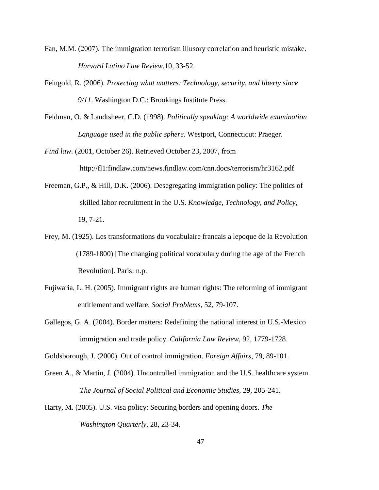- Fan, M.M. (2007). The immigration terrorism illusory correlation and heuristic mistake. *Harvard Latino Law Review*,10, 33-52.
- Feingold, R. (2006). *Protecting what matters: Technology, security, and liberty since 9/11*. Washington D.C.: Brookings Institute Press.
- Feldman, O. & Landtsheer, C.D. (1998). *Politically speaking: A worldwide examination Language used in the public sphere*. Westport, Connecticut: Praeger.

*Find law*. (2001, October 26). Retrieved October 23, 2007, from http://fl1:findlaw.com/news.findlaw.com/cnn.docs/terrorism/hr3162.pdf

- Freeman, G.P., & Hill, D.K. (2006). Desegregating immigration policy: The politics of skilled labor recruitment in the U.S. *Knowledge, Technology, and Policy*, 19, 7-21.
- Frey, M. (1925). Les transformations du vocabulaire francais a lepoque de la Revolution (1789-1800) [The changing political vocabulary during the age of the French Revolution]. Paris: n.p.
- Fujiwaria, L. H. (2005). Immigrant rights are human rights: The reforming of immigrant entitlement and welfare. *Social Problems*, 52, 79-107.
- Gallegos, G. A. (2004). Border matters: Redefining the national interest in U.S.-Mexico immigration and trade policy. *California Law Review*, 92, 1779-1728.

Goldsborough, J. (2000). Out of control immigration. *Foreign Affairs*, 79, 89-101.

- Green A., & Martin, J. (2004). Uncontrolled immigration and the U.S. healthcare system. *The Journal of Social Political and Economic Studies*, 29, 205-241.
- Harty, M. (2005). U.S. visa policy: Securing borders and opening doors. *The Washington Quarterly,* 28, 23-34.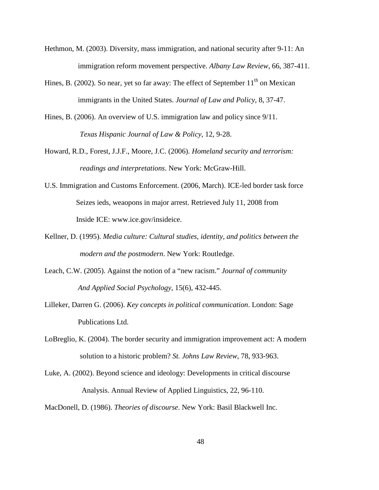- Hethmon, M. (2003). Diversity, mass immigration, and national security after 9-11: An immigration reform movement perspective. *Albany Law Review*, 66, 387-411.
- Hines, B. (2002). So near, yet so far away: The effect of September  $11<sup>th</sup>$  on Mexican immigrants in the United States. *Journal of Law and Policy*, 8, 37-47.
- Hines, B. (2006). An overview of U.S. immigration law and policy since 9/11. *Texas Hispanic Journal of Law & Policy*, 12, 9-28.
- Howard, R.D., Forest, J.J.F., Moore, J.C. (2006). *Homeland security and terrorism: readings and interpretations*. New York: McGraw-Hill.
- U.S. Immigration and Customs Enforcement. (2006, March). ICE-led border task force Seizes ieds, weaopons in major arrest. Retrieved July 11, 2008 from Inside ICE: www.ice.gov/insideice.
- Kellner, D. (1995). *Media culture: Cultural studies, identity, and politics between the modern and the postmodern*. New York: Routledge.
- Leach, C.W. (2005). Against the notion of a "new racism." *Journal of community And Applied Social Psychology*, 15(6), 432-445.
- Lilleker, Darren G. (2006). *Key concepts in political communication*. London: Sage Publications Ltd.
- LoBreglio, K. (2004). The border security and immigration improvement act: A modern solution to a historic problem? *St. Johns Law Review*, 78, 933-963.
- Luke, A. (2002). Beyond science and ideology: Developments in critical discourse Analysis. Annual Review of Applied Linguistics, 22, 96-110.

MacDonell, D. (1986). *Theories of discourse*. New York: Basil Blackwell Inc.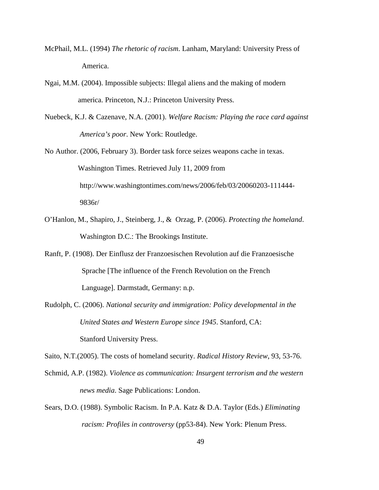- McPhail, M.L. (1994) *The rhetoric of racism*. Lanham, Maryland: University Press of America.
- Ngai, M.M. (2004). Impossible subjects: Illegal aliens and the making of modern america. Princeton, N.J.: Princeton University Press.
- Nuebeck, K.J. & Cazenave, N.A. (2001). *Welfare Racism: Playing the race card against America's poor*. New York: Routledge.
- No Author. (2006, February 3). Border task force seizes weapons cache in texas. Washington Times. Retrieved July 11, 2009 from http://www.washingtontimes.com/news/2006/feb/03/20060203-111444- 9836r/
- O'Hanlon, M., Shapiro, J., Steinberg, J., & Orzag, P. (2006). *Protecting the homeland*. Washington D.C.: The Brookings Institute.
- Ranft, P. (1908). Der Einflusz der Franzoesischen Revolution auf die Franzoesische Sprache [The influence of the French Revolution on the French Language]. Darmstadt, Germany: n.p.
- Rudolph, C. (2006). *National security and immigration: Policy developmental in the United States and Western Europe since 1945*. Stanford, CA: Stanford University Press.

Saito, N.T.(2005). The costs of homeland security. *Radical History Review*, 93, 53-76.

- Schmid, A.P. (1982). *Violence as communication: Insurgent terrorism and the western news media*. Sage Publications: London.
- Sears, D.O. (1988). Symbolic Racism. In P.A. Katz & D.A. Taylor (Eds.) *Eliminating racism: Profiles in controversy* (pp53-84). New York: Plenum Press.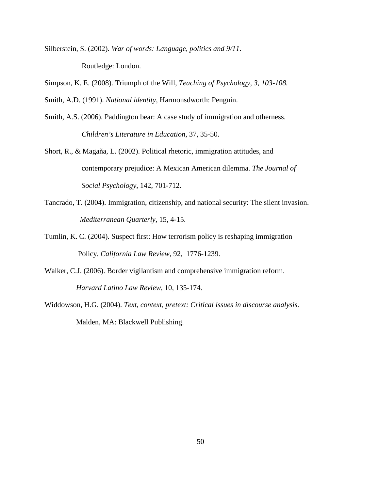Silberstein, S. (2002). *War of words: Language, politics and 9/11*. Routledge: London.

Simpson, K. E. (2008). Triumph of the Will, *Teaching of Psychology, 3, 103-108.*

Smith, A.D. (1991). *National identity*, Harmonsdworth: Penguin.

Smith, A.S. (2006). Paddington bear: A case study of immigration and otherness. *Children's Literature in Education*, 37, 35-50.

- Short, R., & Magaña, L. (2002). Political rhetoric, immigration attitudes, and contemporary prejudice: A Mexican American dilemma. *The Journal of Social Psychology*, 142, 701-712.
- Tancrado, T. (2004). Immigration, citizenship, and national security: The silent invasion.  *Mediterranean Quarterly*, 15, 4-15.
- Tumlin, K. C. (2004). Suspect first: How terrorism policy is reshaping immigration Policy*. California Law Review*, 92, 1776-1239.
- Walker, C.J. (2006). Border vigilantism and comprehensive immigration reform.  *Harvard Latino Law Review*, 10, 135-174.

Widdowson, H.G. (2004). *Text, context, pretext: Critical issues in discourse analysis*. Malden, MA: Blackwell Publishing.